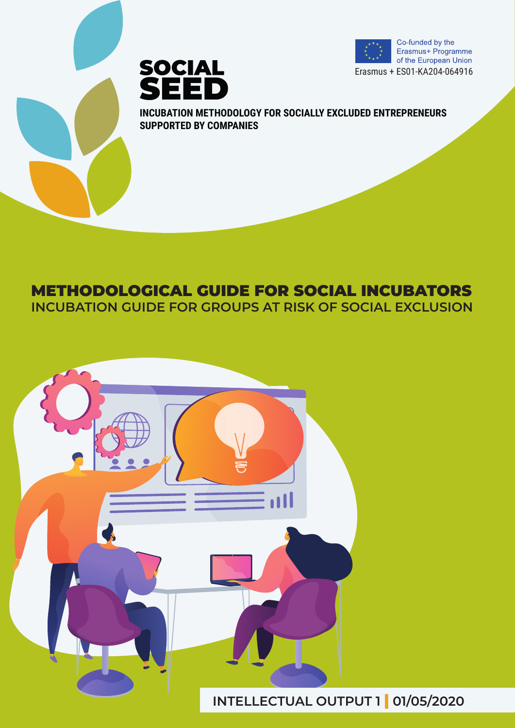





**INCUBATION METHODOLOGY FOR SOCIALLY EXCLUDED ENTREPRENEURS SUPPORTED BY COMPANIES**

# METHODOLOGICAL GUIDE FOR SOCIAL INCUBATORS

**INCUBATION GUIDE FOR GROUPS AT RISK OF SOCIAL EXCLUSION**

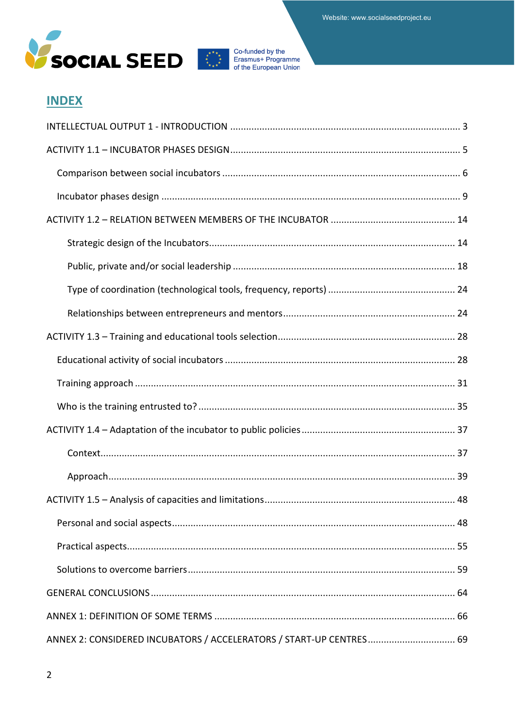



# **INDEX**

| ANNEX 2: CONSIDERED INCUBATORS / ACCELERATORS / START-UP CENTRES 69 |
|---------------------------------------------------------------------|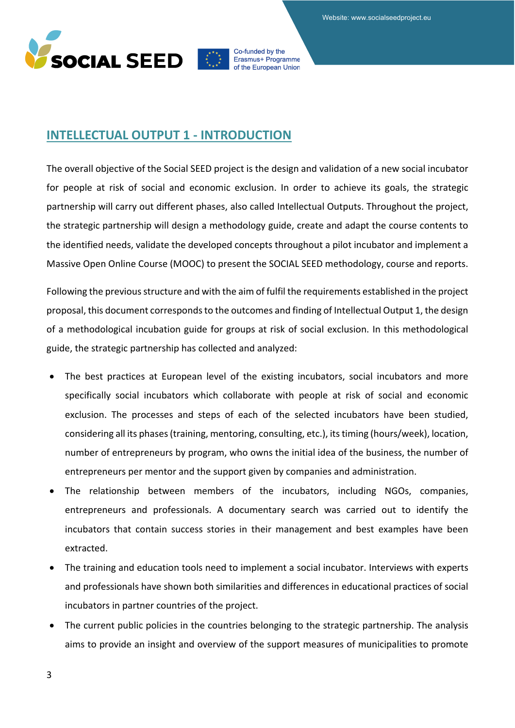



# <span id="page-2-0"></span>**INTELLECTUAL OUTPUT 1 - INTRODUCTION**

The overall objective of the Social SEED project is the design and validation of a new social incubator for people at risk of social and economic exclusion. In order to achieve its goals, the strategic partnership will carry out different phases, also called Intellectual Outputs. Throughout the project, the strategic partnership will design a methodology guide, create and adapt the course contents to the identified needs, validate the developed concepts throughout a pilot incubator and implement a Massive Open Online Course (MOOC) to present the SOCIAL SEED methodology, course and reports.

Following the previous structure and with the aim of fulfil the requirements established in the project proposal, this document corresponds to the outcomes and finding of Intellectual Output 1, the design of a methodological incubation guide for groups at risk of social exclusion. In this methodological guide, the strategic partnership has collected and analyzed:

- The best practices at European level of the existing incubators, social incubators and more specifically social incubators which collaborate with people at risk of social and economic exclusion. The processes and steps of each of the selected incubators have been studied, considering all its phases (training, mentoring, consulting, etc.), its timing (hours/week), location, number of entrepreneurs by program, who owns the initial idea of the business, the number of entrepreneurs per mentor and the support given by companies and administration.
- The relationship between members of the incubators, including NGOs, companies, entrepreneurs and professionals. A documentary search was carried out to identify the incubators that contain success stories in their management and best examples have been extracted.
- The training and education tools need to implement a social incubator. Interviews with experts and professionals have shown both similarities and differences in educational practices of social incubators in partner countries of the project.
- The current public policies in the countries belonging to the strategic partnership. The analysis aims to provide an insight and overview of the support measures of municipalities to promote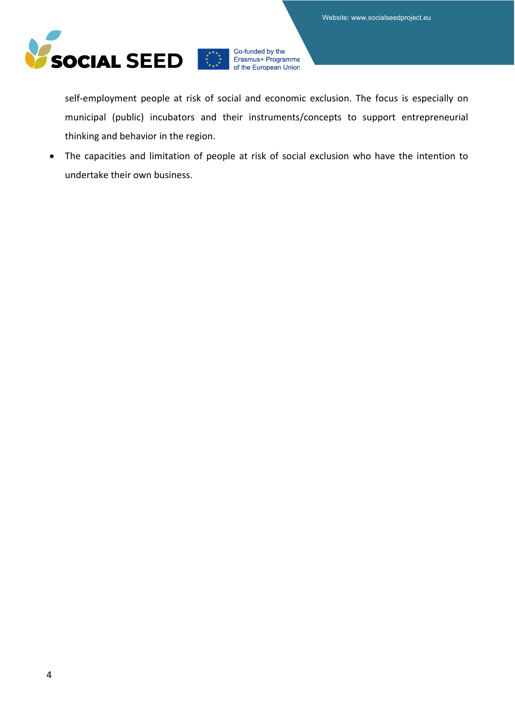

self-employment people at risk of social and economic exclusion. The focus is especially on municipal (public) incubators and their instruments/concepts to support entrepreneurial thinking and behavior in the region.

• The capacities and limitation of people at risk of social exclusion who have the intention to undertake their own business.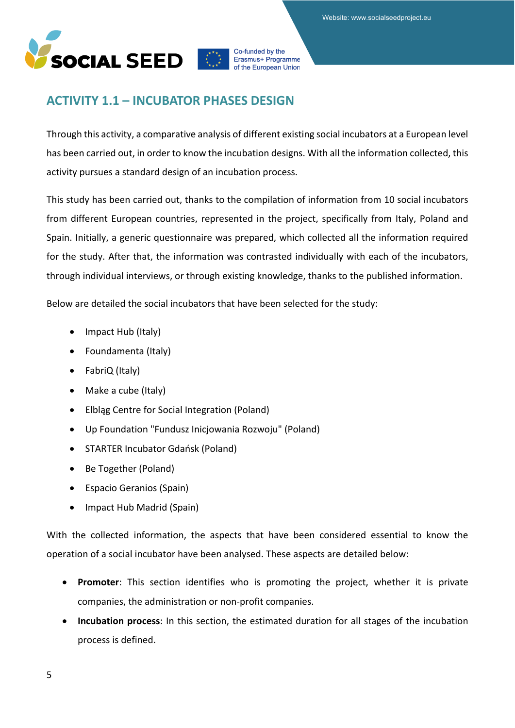

# <span id="page-4-0"></span>**ACTIVITY 1.1 – INCUBATOR PHASES DESIGN**

Through this activity, a comparative analysis of different existing social incubators at a European level has been carried out, in order to know the incubation designs. With all the information collected, this activity pursues a standard design of an incubation process.

This study has been carried out, thanks to the compilation of information from 10 social incubators from different European countries, represented in the project, specifically from Italy, Poland and Spain. Initially, a generic questionnaire was prepared, which collected all the information required for the study. After that, the information was contrasted individually with each of the incubators, through individual interviews, or through existing knowledge, thanks to the published information.

Below are detailed the social incubators that have been selected for the study:

- Impact Hub (Italy)
- Foundamenta (Italy)
- FabriQ (Italy)
- Make a cube (Italy)
- Elbląg Centre for Social Integration (Poland)
- Up Foundation "Fundusz Inicjowania Rozwoju" (Poland)
- STARTER Incubator Gdańsk (Poland)
- Be Together (Poland)
- Espacio Geranios (Spain)
- Impact Hub Madrid (Spain)

With the collected information, the aspects that have been considered essential to know the operation of a social incubator have been analysed. These aspects are detailed below:

- **Promoter**: This section identifies who is promoting the project, whether it is private companies, the administration or non-profit companies.
- **Incubation process**: In this section, the estimated duration for all stages of the incubation process is defined.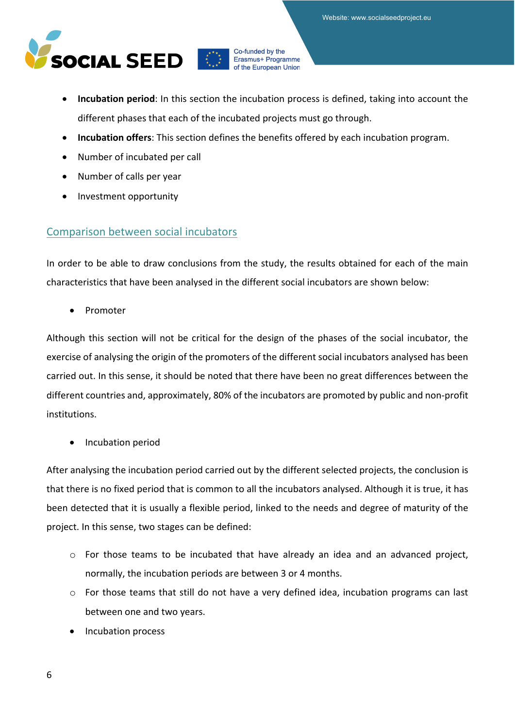Website: www.socialseedproject.eu



Co-funded by the Erasmus+ Programme of the European Union

- **Incubation period**: In this section the incubation process is defined, taking into account the different phases that each of the incubated projects must go through.
- **Incubation offers**: This section defines the benefits offered by each incubation program.
- Number of incubated per call
- Number of calls per year
- Investment opportunity

# <span id="page-5-0"></span>Comparison between social incubators

In order to be able to draw conclusions from the study, the results obtained for each of the main characteristics that have been analysed in the different social incubators are shown below:

• Promoter

Although this section will not be critical for the design of the phases of the social incubator, the exercise of analysing the origin of the promoters of the different social incubators analysed has been carried out. In this sense, it should be noted that there have been no great differences between the different countries and, approximately, 80% of the incubators are promoted by public and non-profit institutions.

• Incubation period

After analysing the incubation period carried out by the different selected projects, the conclusion is that there is no fixed period that is common to all the incubators analysed. Although it is true, it has been detected that it is usually a flexible period, linked to the needs and degree of maturity of the project. In this sense, two stages can be defined:

- $\circ$  For those teams to be incubated that have already an idea and an advanced project, normally, the incubation periods are between 3 or 4 months.
- o For those teams that still do not have a very defined idea, incubation programs can last between one and two years.
- Incubation process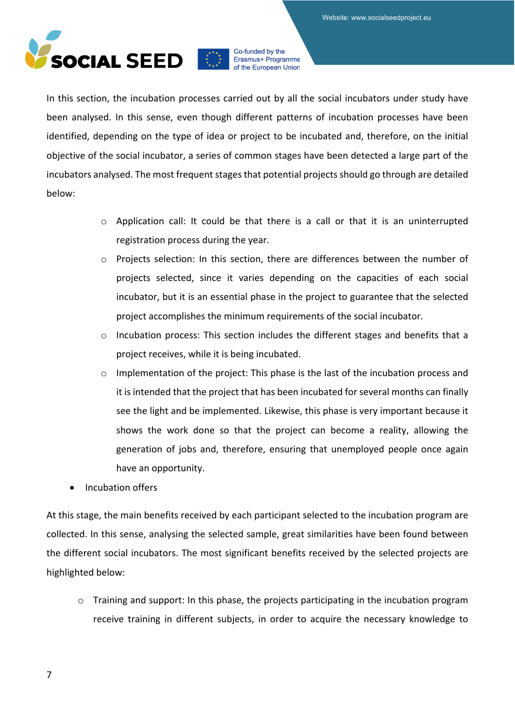

In this section, the incubation processes carried out by all the social incubators under study have been analysed. In this sense, even though different patterns of incubation processes have been identified, depending on the type of idea or project to be incubated and, therefore, on the initial objective of the social incubator, a series of common stages have been detected a large part of the incubators analysed. The most frequent stages that potential projects should go through are detailed below:

- $\circ$  Application call: It could be that there is a call or that it is an uninterrupted registration process during the year.
- o Projects selection: In this section, there are differences between the number of projects selected, since it varies depending on the capacities of each social incubator, but it is an essential phase in the project to guarantee that the selected project accomplishes the minimum requirements of the social incubator.
- o Incubation process: This section includes the different stages and benefits that a project receives, while it is being incubated.
- o Implementation of the project: This phase is the last of the incubation process and it is intended that the project that has been incubated for several months can finally see the light and be implemented. Likewise, this phase is very important because it shows the work done so that the project can become a reality, allowing the generation of jobs and, therefore, ensuring that unemployed people once again have an opportunity.
- Incubation offers

At this stage, the main benefits received by each participant selected to the incubation program are collected. In this sense, analysing the selected sample, great similarities have been found between the different social incubators. The most significant benefits received by the selected projects are highlighted below:

o Training and support: In this phase, the projects participating in the incubation program receive training in different subjects, in order to acquire the necessary knowledge to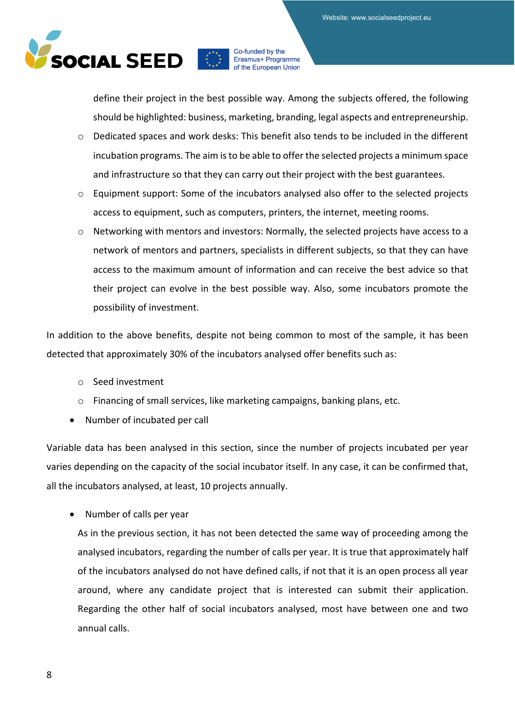

define their project in the best possible way. Among the subjects offered, the following should be highlighted: business, marketing, branding, legal aspects and entrepreneurship.

- o Dedicated spaces and work desks: This benefit also tends to be included in the different incubation programs. The aim is to be able to offer the selected projects a minimum space and infrastructure so that they can carry out their project with the best guarantees.
- o Equipment support: Some of the incubators analysed also offer to the selected projects access to equipment, such as computers, printers, the internet, meeting rooms.
- o Networking with mentors and investors: Normally, the selected projects have access to a network of mentors and partners, specialists in different subjects, so that they can have access to the maximum amount of information and can receive the best advice so that their project can evolve in the best possible way. Also, some incubators promote the possibility of investment.

In addition to the above benefits, despite not being common to most of the sample, it has been detected that approximately 30% of the incubators analysed offer benefits such as:

- o Seed investment
- o Financing of small services, like marketing campaigns, banking plans, etc.
- Number of incubated per call

Variable data has been analysed in this section, since the number of projects incubated per year varies depending on the capacity of the social incubator itself. In any case, it can be confirmed that, all the incubators analysed, at least, 10 projects annually.

• Number of calls per year

As in the previous section, it has not been detected the same way of proceeding among the analysed incubators, regarding the number of calls per year. It is true that approximately half of the incubators analysed do not have defined calls, if not that it is an open process all year around, where any candidate project that is interested can submit their application. Regarding the other half of social incubators analysed, most have between one and two annual calls.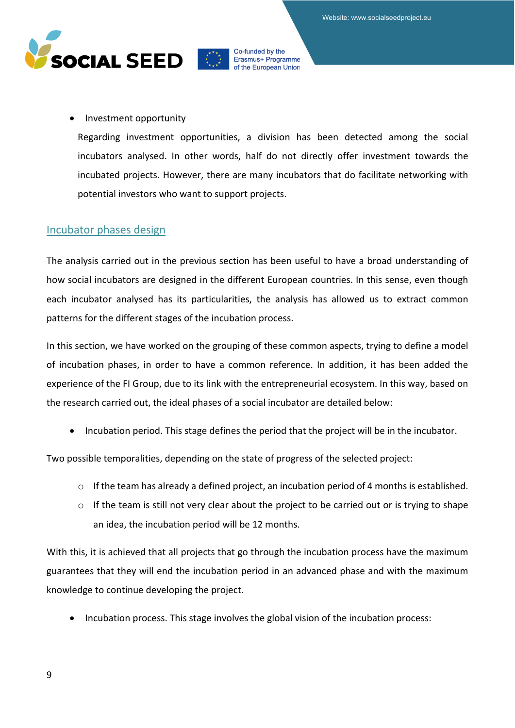

#### • Investment opportunity

Regarding investment opportunities, a division has been detected among the social incubators analysed. In other words, half do not directly offer investment towards the incubated projects. However, there are many incubators that do facilitate networking with potential investors who want to support projects.

### <span id="page-8-0"></span>Incubator phases design

The analysis carried out in the previous section has been useful to have a broad understanding of how social incubators are designed in the different European countries. In this sense, even though each incubator analysed has its particularities, the analysis has allowed us to extract common patterns for the different stages of the incubation process.

In this section, we have worked on the grouping of these common aspects, trying to define a model of incubation phases, in order to have a common reference. In addition, it has been added the experience of the FI Group, due to its link with the entrepreneurial ecosystem. In this way, based on the research carried out, the ideal phases of a social incubator are detailed below:

• Incubation period. This stage defines the period that the project will be in the incubator.

Two possible temporalities, depending on the state of progress of the selected project:

- o If the team has already a defined project, an incubation period of 4 months is established.
- o If the team is still not very clear about the project to be carried out or is trying to shape an idea, the incubation period will be 12 months.

With this, it is achieved that all projects that go through the incubation process have the maximum guarantees that they will end the incubation period in an advanced phase and with the maximum knowledge to continue developing the project.

• Incubation process. This stage involves the global vision of the incubation process: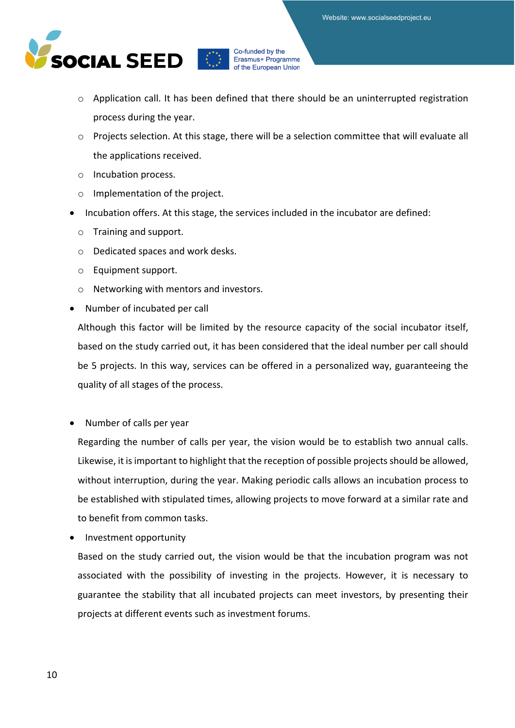

- o Application call. It has been defined that there should be an uninterrupted registration process during the year.
- o Projects selection. At this stage, there will be a selection committee that will evaluate all the applications received.
- o Incubation process.
- o Implementation of the project.
- Incubation offers. At this stage, the services included in the incubator are defined:
	- o Training and support.
	- o Dedicated spaces and work desks.
	- o Equipment support.
	- o Networking with mentors and investors.
- Number of incubated per call

Although this factor will be limited by the resource capacity of the social incubator itself, based on the study carried out, it has been considered that the ideal number per call should be 5 projects. In this way, services can be offered in a personalized way, guaranteeing the quality of all stages of the process.

• Number of calls per year

Regarding the number of calls per year, the vision would be to establish two annual calls. Likewise, it is important to highlight that the reception of possible projects should be allowed, without interruption, during the year. Making periodic calls allows an incubation process to be established with stipulated times, allowing projects to move forward at a similar rate and to benefit from common tasks.

• Investment opportunity

Based on the study carried out, the vision would be that the incubation program was not associated with the possibility of investing in the projects. However, it is necessary to guarantee the stability that all incubated projects can meet investors, by presenting their projects at different events such as investment forums.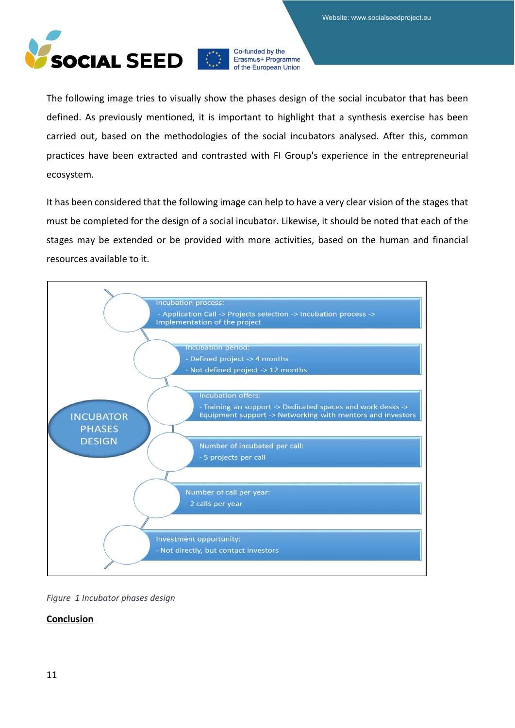

The following image tries to visually show the phases design of the social incubator that has been defined. As previously mentioned, it is important to highlight that a synthesis exercise has been carried out, based on the methodologies of the social incubators analysed. After this, common practices have been extracted and contrasted with FI Group's experience in the entrepreneurial ecosystem.

It has been considered that the following image can help to have a very clear vision of the stages that must be completed for the design of a social incubator. Likewise, it should be noted that each of the stages may be extended or be provided with more activities, based on the human and financial resources available to it.



*Figure 1 Incubator phases design*

### **Conclusion**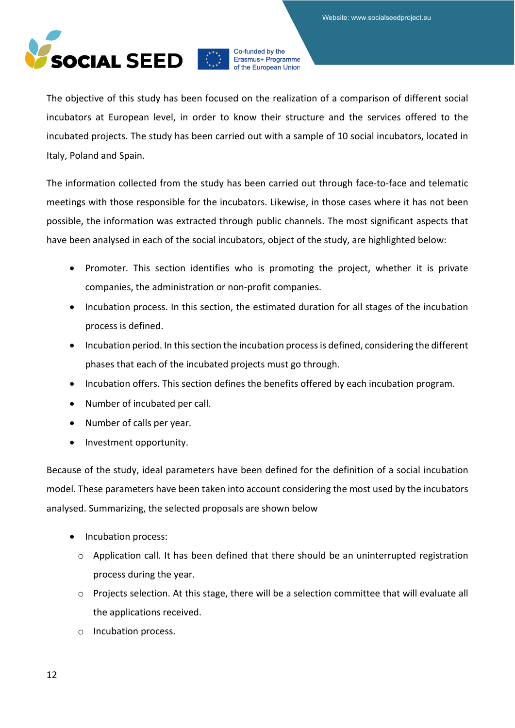

The objective of this study has been focused on the realization of a comparison of different social incubators at European level, in order to know their structure and the services offered to the incubated projects. The study has been carried out with a sample of 10 social incubators, located in Italy, Poland and Spain.

The information collected from the study has been carried out through face-to-face and telematic meetings with those responsible for the incubators. Likewise, in those cases where it has not been possible, the information was extracted through public channels. The most significant aspects that have been analysed in each of the social incubators, object of the study, are highlighted below:

- Promoter. This section identifies who is promoting the project, whether it is private companies, the administration or non-profit companies.
- Incubation process. In this section, the estimated duration for all stages of the incubation process is defined.
- Incubation period. In this section the incubation process is defined, considering the different phases that each of the incubated projects must go through.
- Incubation offers. This section defines the benefits offered by each incubation program.
- Number of incubated per call.
- Number of calls per year.
- Investment opportunity.

Because of the study, ideal parameters have been defined for the definition of a social incubation model. These parameters have been taken into account considering the most used by the incubators analysed. Summarizing, the selected proposals are shown below

- Incubation process:
	- o Application call. It has been defined that there should be an uninterrupted registration process during the year.
	- o Projects selection. At this stage, there will be a selection committee that will evaluate all the applications received.
	- o Incubation process.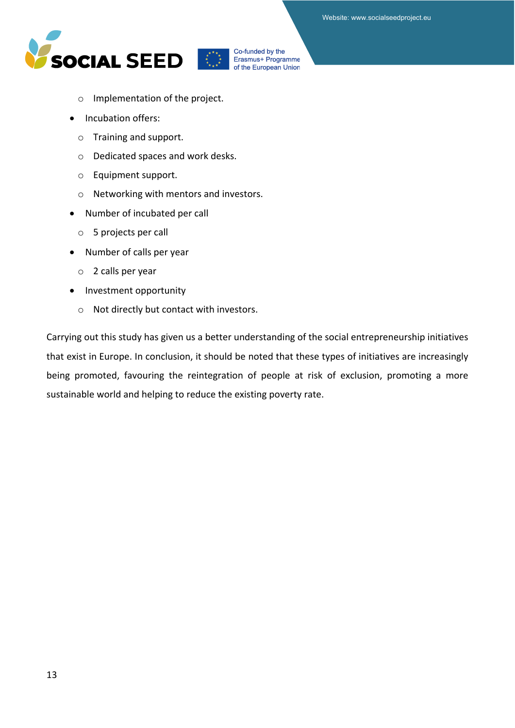



Erasmus+ Programme of the European Union

- o Implementation of the project.
- Incubation offers:
	- o Training and support.
	- o Dedicated spaces and work desks.
	- o Equipment support.
	- o Networking with mentors and investors.
- Number of incubated per call
	- o 5 projects per call
- Number of calls per year
	- o 2 calls per year
- Investment opportunity
	- o Not directly but contact with investors.

Carrying out this study has given us a better understanding of the social entrepreneurship initiatives that exist in Europe. In conclusion, it should be noted that these types of initiatives are increasingly being promoted, favouring the reintegration of people at risk of exclusion, promoting a more sustainable world and helping to reduce the existing poverty rate.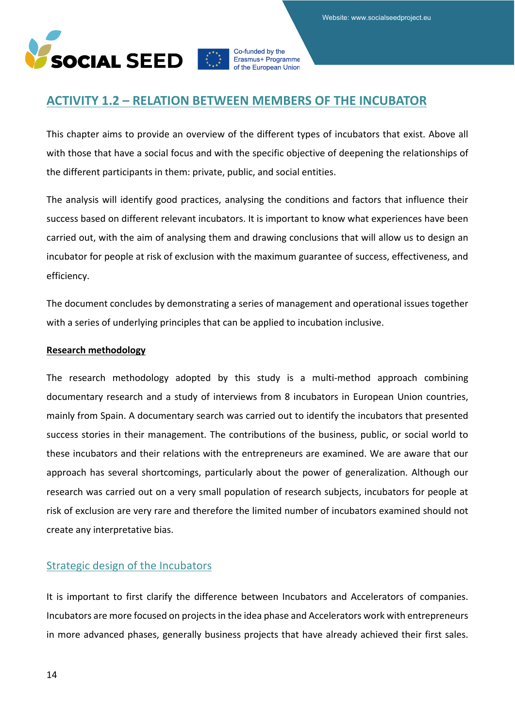Website: www.socialseedproject.eu



Co-funded by the Erasmus+ Programme of the European Union

# <span id="page-13-0"></span>**ACTIVITY 1.2 – RELATION BETWEEN MEMBERS OF THE INCUBATOR**

This chapter aims to provide an overview of the different types of incubators that exist. Above all with those that have a social focus and with the specific objective of deepening the relationships of the different participants in them: private, public, and social entities.

The analysis will identify good practices, analysing the conditions and factors that influence their success based on different relevant incubators. It is important to know what experiences have been carried out, with the aim of analysing them and drawing conclusions that will allow us to design an incubator for people at risk of exclusion with the maximum guarantee of success, effectiveness, and efficiency.

The document concludes by demonstrating a series of management and operational issues together with a series of underlying principles that can be applied to incubation inclusive.

#### **Research methodology**

The research methodology adopted by this study is a multi-method approach combining documentary research and a study of interviews from 8 incubators in European Union countries, mainly from Spain. A documentary search was carried out to identify the incubators that presented success stories in their management. The contributions of the business, public, or social world to these incubators and their relations with the entrepreneurs are examined. We are aware that our approach has several shortcomings, particularly about the power of generalization. Although our research was carried out on a very small population of research subjects, incubators for people at risk of exclusion are very rare and therefore the limited number of incubators examined should not create any interpretative bias.

# <span id="page-13-1"></span>Strategic design of the Incubators

It is important to first clarify the difference between Incubators and Accelerators of companies. Incubators are more focused on projects in the idea phase and Accelerators work with entrepreneurs in more advanced phases, generally business projects that have already achieved their first sales.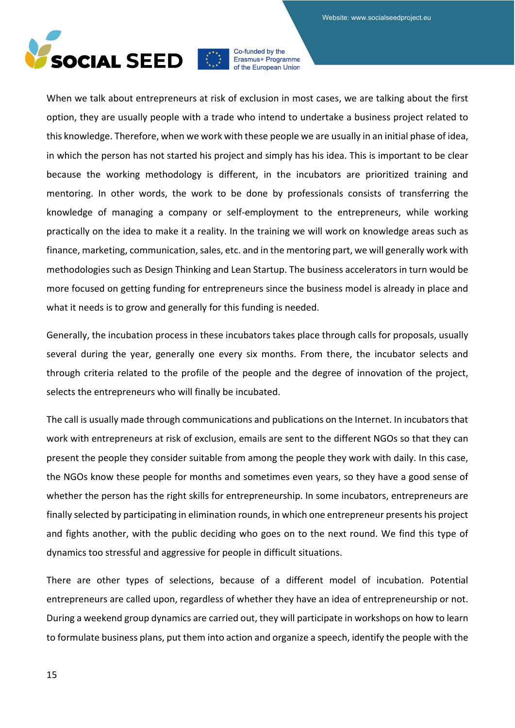

When we talk about entrepreneurs at risk of exclusion in most cases, we are talking about the first option, they are usually people with a trade who intend to undertake a business project related to this knowledge. Therefore, when we work with these people we are usually in an initial phase of idea, in which the person has not started his project and simply has his idea. This is important to be clear because the working methodology is different, in the incubators are prioritized training and mentoring. In other words, the work to be done by professionals consists of transferring the knowledge of managing a company or self-employment to the entrepreneurs, while working practically on the idea to make it a reality. In the training we will work on knowledge areas such as finance, marketing, communication, sales, etc. and in the mentoring part, we will generally work with methodologies such as Design Thinking and Lean Startup. The business accelerators in turn would be more focused on getting funding for entrepreneurs since the business model is already in place and what it needs is to grow and generally for this funding is needed.

Generally, the incubation process in these incubators takes place through calls for proposals, usually several during the year, generally one every six months. From there, the incubator selects and through criteria related to the profile of the people and the degree of innovation of the project, selects the entrepreneurs who will finally be incubated.

The call is usually made through communications and publications on the Internet. In incubators that work with entrepreneurs at risk of exclusion, emails are sent to the different NGOs so that they can present the people they consider suitable from among the people they work with daily. In this case, the NGOs know these people for months and sometimes even years, so they have a good sense of whether the person has the right skills for entrepreneurship. In some incubators, entrepreneurs are finally selected by participating in elimination rounds, in which one entrepreneur presents his project and fights another, with the public deciding who goes on to the next round. We find this type of dynamics too stressful and aggressive for people in difficult situations.

There are other types of selections, because of a different model of incubation. Potential entrepreneurs are called upon, regardless of whether they have an idea of entrepreneurship or not. During a weekend group dynamics are carried out, they will participate in workshops on how to learn to formulate business plans, put them into action and organize a speech, identify the people with the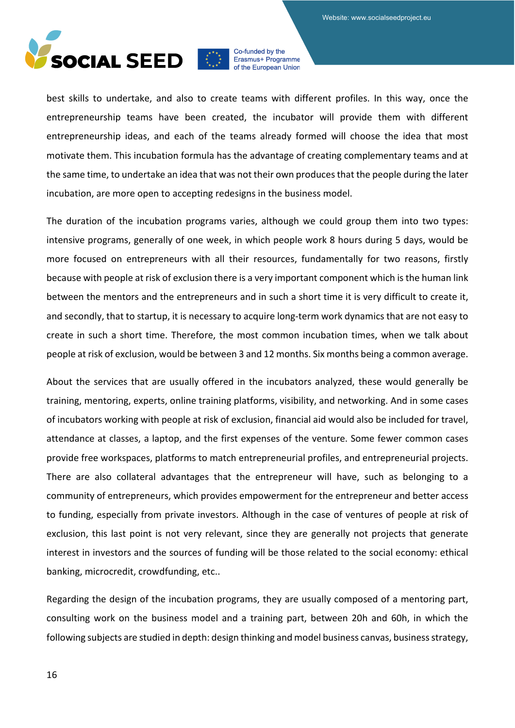

best skills to undertake, and also to create teams with different profiles. In this way, once the entrepreneurship teams have been created, the incubator will provide them with different entrepreneurship ideas, and each of the teams already formed will choose the idea that most motivate them. This incubation formula has the advantage of creating complementary teams and at the same time, to undertake an idea that was not their own produces that the people during the later incubation, are more open to accepting redesigns in the business model.

The duration of the incubation programs varies, although we could group them into two types: intensive programs, generally of one week, in which people work 8 hours during 5 days, would be more focused on entrepreneurs with all their resources, fundamentally for two reasons, firstly because with people at risk of exclusion there is a very important component which is the human link between the mentors and the entrepreneurs and in such a short time it is very difficult to create it, and secondly, that to startup, it is necessary to acquire long-term work dynamics that are not easy to create in such a short time. Therefore, the most common incubation times, when we talk about people at risk of exclusion, would be between 3 and 12 months. Six months being a common average.

About the services that are usually offered in the incubators analyzed, these would generally be training, mentoring, experts, online training platforms, visibility, and networking. And in some cases of incubators working with people at risk of exclusion, financial aid would also be included for travel, attendance at classes, a laptop, and the first expenses of the venture. Some fewer common cases provide free workspaces, platforms to match entrepreneurial profiles, and entrepreneurial projects. There are also collateral advantages that the entrepreneur will have, such as belonging to a community of entrepreneurs, which provides empowerment for the entrepreneur and better access to funding, especially from private investors. Although in the case of ventures of people at risk of exclusion, this last point is not very relevant, since they are generally not projects that generate interest in investors and the sources of funding will be those related to the social economy: ethical banking, microcredit, crowdfunding, etc..

Regarding the design of the incubation programs, they are usually composed of a mentoring part, consulting work on the business model and a training part, between 20h and 60h, in which the following subjects are studied in depth: design thinking and model business canvas, business strategy,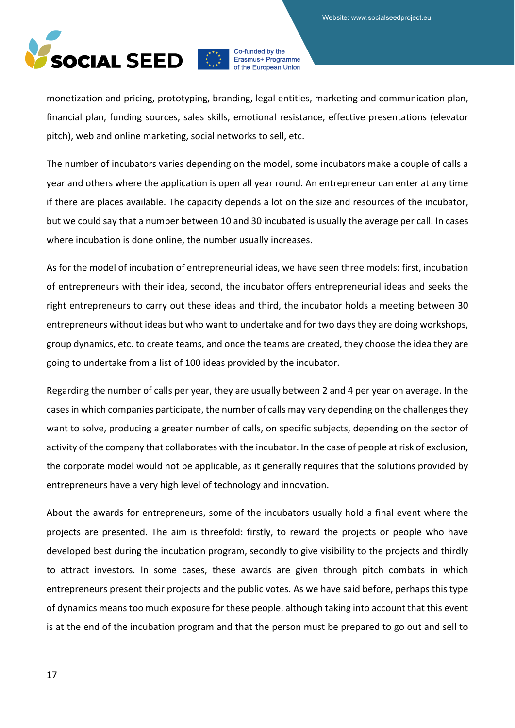

monetization and pricing, prototyping, branding, legal entities, marketing and communication plan, financial plan, funding sources, sales skills, emotional resistance, effective presentations (elevator pitch), web and online marketing, social networks to sell, etc.

The number of incubators varies depending on the model, some incubators make a couple of calls a year and others where the application is open all year round. An entrepreneur can enter at any time if there are places available. The capacity depends a lot on the size and resources of the incubator, but we could say that a number between 10 and 30 incubated is usually the average per call. In cases where incubation is done online, the number usually increases.

As for the model of incubation of entrepreneurial ideas, we have seen three models: first, incubation of entrepreneurs with their idea, second, the incubator offers entrepreneurial ideas and seeks the right entrepreneurs to carry out these ideas and third, the incubator holds a meeting between 30 entrepreneurs without ideas but who want to undertake and for two days they are doing workshops, group dynamics, etc. to create teams, and once the teams are created, they choose the idea they are going to undertake from a list of 100 ideas provided by the incubator.

Regarding the number of calls per year, they are usually between 2 and 4 per year on average. In the cases in which companies participate, the number of calls may vary depending on the challenges they want to solve, producing a greater number of calls, on specific subjects, depending on the sector of activity of the company that collaborates with the incubator. In the case of people at risk of exclusion, the corporate model would not be applicable, as it generally requires that the solutions provided by entrepreneurs have a very high level of technology and innovation.

About the awards for entrepreneurs, some of the incubators usually hold a final event where the projects are presented. The aim is threefold: firstly, to reward the projects or people who have developed best during the incubation program, secondly to give visibility to the projects and thirdly to attract investors. In some cases, these awards are given through pitch combats in which entrepreneurs present their projects and the public votes. As we have said before, perhaps this type of dynamics means too much exposure for these people, although taking into account that this event is at the end of the incubation program and that the person must be prepared to go out and sell to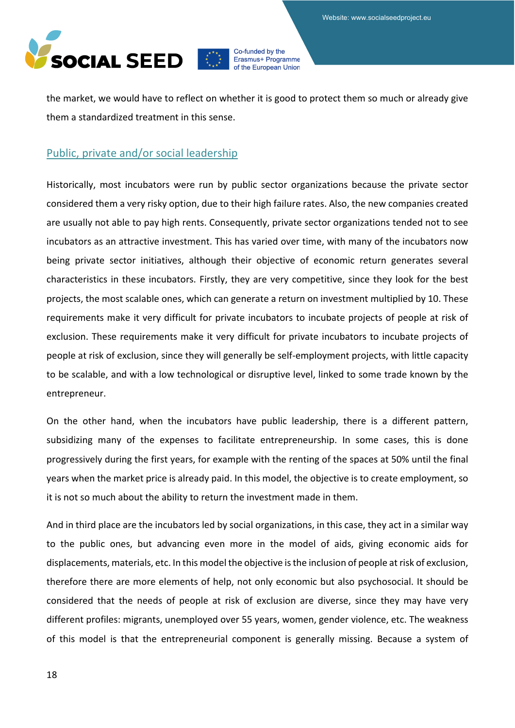Website: www.socialseedproject.eu



Co-funded by the Erasmus+ Programme of the European Union

the market, we would have to reflect on whether it is good to protect them so much or already give them a standardized treatment in this sense.

# <span id="page-17-0"></span>Public, private and/or social leadership

Historically, most incubators were run by public sector organizations because the private sector considered them a very risky option, due to their high failure rates. Also, the new companies created are usually not able to pay high rents. Consequently, private sector organizations tended not to see incubators as an attractive investment. This has varied over time, with many of the incubators now being private sector initiatives, although their objective of economic return generates several characteristics in these incubators. Firstly, they are very competitive, since they look for the best projects, the most scalable ones, which can generate a return on investment multiplied by 10. These requirements make it very difficult for private incubators to incubate projects of people at risk of exclusion. These requirements make it very difficult for private incubators to incubate projects of people at risk of exclusion, since they will generally be self-employment projects, with little capacity to be scalable, and with a low technological or disruptive level, linked to some trade known by the entrepreneur.

On the other hand, when the incubators have public leadership, there is a different pattern, subsidizing many of the expenses to facilitate entrepreneurship. In some cases, this is done progressively during the first years, for example with the renting of the spaces at 50% until the final years when the market price is already paid. In this model, the objective is to create employment, so it is not so much about the ability to return the investment made in them.

And in third place are the incubators led by social organizations, in this case, they act in a similar way to the public ones, but advancing even more in the model of aids, giving economic aids for displacements, materials, etc. In this model the objective is the inclusion of people at risk of exclusion, therefore there are more elements of help, not only economic but also psychosocial. It should be considered that the needs of people at risk of exclusion are diverse, since they may have very different profiles: migrants, unemployed over 55 years, women, gender violence, etc. The weakness of this model is that the entrepreneurial component is generally missing. Because a system of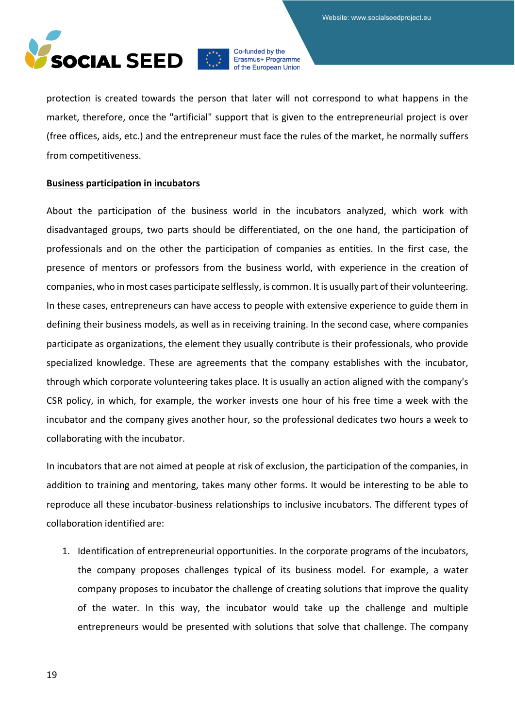

protection is created towards the person that later will not correspond to what happens in the market, therefore, once the "artificial" support that is given to the entrepreneurial project is over (free offices, aids, etc.) and the entrepreneur must face the rules of the market, he normally suffers from competitiveness.

#### **Business participation in incubators**

About the participation of the business world in the incubators analyzed, which work with disadvantaged groups, two parts should be differentiated, on the one hand, the participation of professionals and on the other the participation of companies as entities. In the first case, the presence of mentors or professors from the business world, with experience in the creation of companies, who in most cases participate selflessly, is common. It is usually part of their volunteering. In these cases, entrepreneurs can have access to people with extensive experience to guide them in defining their business models, as well as in receiving training. In the second case, where companies participate as organizations, the element they usually contribute is their professionals, who provide specialized knowledge. These are agreements that the company establishes with the incubator, through which corporate volunteering takes place. It is usually an action aligned with the company's CSR policy, in which, for example, the worker invests one hour of his free time a week with the incubator and the company gives another hour, so the professional dedicates two hours a week to collaborating with the incubator.

In incubators that are not aimed at people at risk of exclusion, the participation of the companies, in addition to training and mentoring, takes many other forms. It would be interesting to be able to reproduce all these incubator-business relationships to inclusive incubators. The different types of collaboration identified are:

1. Identification of entrepreneurial opportunities. In the corporate programs of the incubators, the company proposes challenges typical of its business model. For example, a water company proposes to incubator the challenge of creating solutions that improve the quality of the water. In this way, the incubator would take up the challenge and multiple entrepreneurs would be presented with solutions that solve that challenge. The company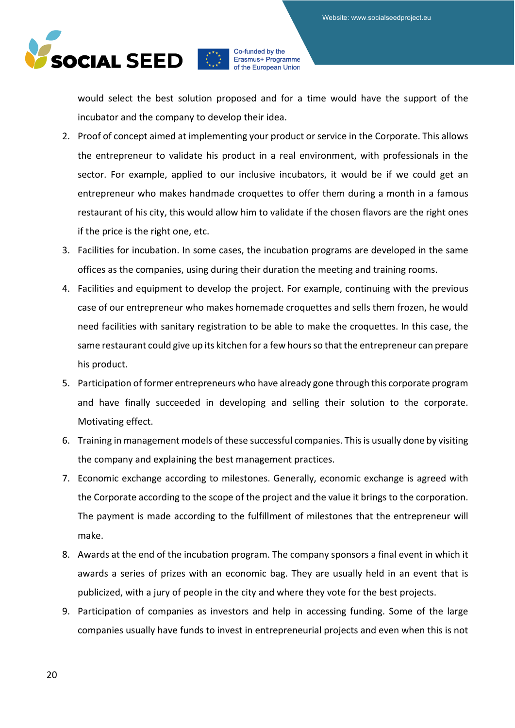

would select the best solution proposed and for a time would have the support of the incubator and the company to develop their idea.

- 2. Proof of concept aimed at implementing your product or service in the Corporate. This allows the entrepreneur to validate his product in a real environment, with professionals in the sector. For example, applied to our inclusive incubators, it would be if we could get an entrepreneur who makes handmade croquettes to offer them during a month in a famous restaurant of his city, this would allow him to validate if the chosen flavors are the right ones if the price is the right one, etc.
- 3. Facilities for incubation. In some cases, the incubation programs are developed in the same offices as the companies, using during their duration the meeting and training rooms.
- 4. Facilities and equipment to develop the project. For example, continuing with the previous case of our entrepreneur who makes homemade croquettes and sells them frozen, he would need facilities with sanitary registration to be able to make the croquettes. In this case, the same restaurant could give up its kitchen for a few hours so that the entrepreneur can prepare his product.
- 5. Participation of former entrepreneurs who have already gone through this corporate program and have finally succeeded in developing and selling their solution to the corporate. Motivating effect.
- 6. Training in management models of these successful companies. This is usually done by visiting the company and explaining the best management practices.
- 7. Economic exchange according to milestones. Generally, economic exchange is agreed with the Corporate according to the scope of the project and the value it brings to the corporation. The payment is made according to the fulfillment of milestones that the entrepreneur will make.
- 8. Awards at the end of the incubation program. The company sponsors a final event in which it awards a series of prizes with an economic bag. They are usually held in an event that is publicized, with a jury of people in the city and where they vote for the best projects.
- 9. Participation of companies as investors and help in accessing funding. Some of the large companies usually have funds to invest in entrepreneurial projects and even when this is not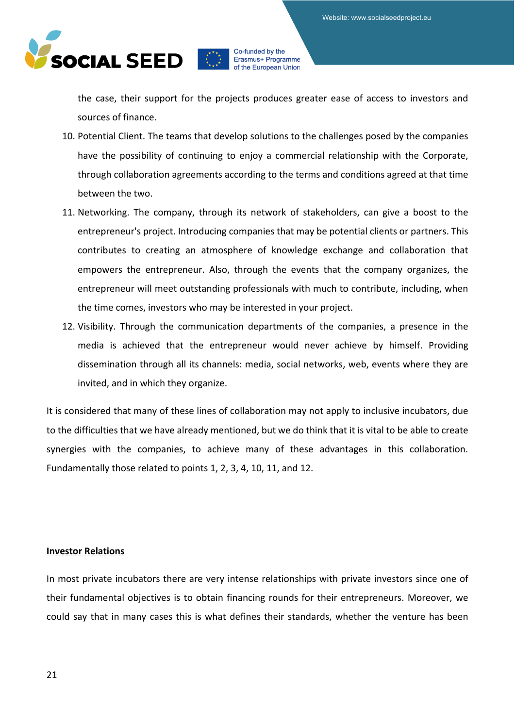

the case, their support for the projects produces greater ease of access to investors and sources of finance.

- 10. Potential Client. The teams that develop solutions to the challenges posed by the companies have the possibility of continuing to enjoy a commercial relationship with the Corporate, through collaboration agreements according to the terms and conditions agreed at that time between the two.
- 11. Networking. The company, through its network of stakeholders, can give a boost to the entrepreneur's project. Introducing companies that may be potential clients or partners. This contributes to creating an atmosphere of knowledge exchange and collaboration that empowers the entrepreneur. Also, through the events that the company organizes, the entrepreneur will meet outstanding professionals with much to contribute, including, when the time comes, investors who may be interested in your project.
- 12. Visibility. Through the communication departments of the companies, a presence in the media is achieved that the entrepreneur would never achieve by himself. Providing dissemination through all its channels: media, social networks, web, events where they are invited, and in which they organize.

It is considered that many of these lines of collaboration may not apply to inclusive incubators, due to the difficulties that we have already mentioned, but we do think that it is vital to be able to create synergies with the companies, to achieve many of these advantages in this collaboration. Fundamentally those related to points 1, 2, 3, 4, 10, 11, and 12.

#### **Investor Relations**

In most private incubators there are very intense relationships with private investors since one of their fundamental objectives is to obtain financing rounds for their entrepreneurs. Moreover, we could say that in many cases this is what defines their standards, whether the venture has been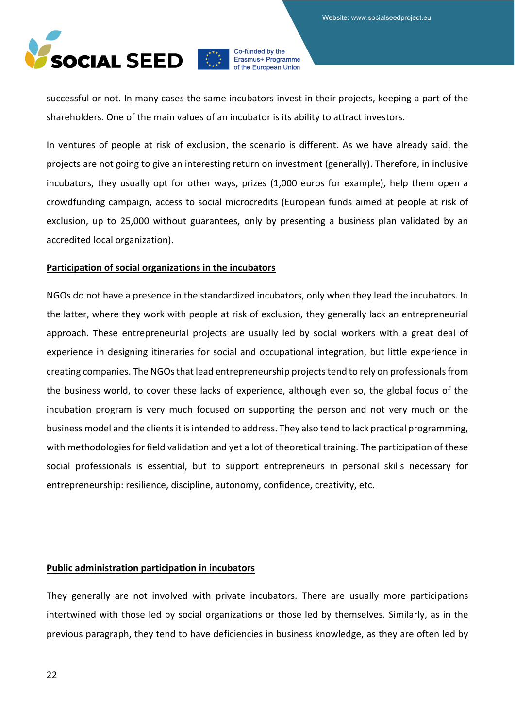

successful or not. In many cases the same incubators invest in their projects, keeping a part of the shareholders. One of the main values of an incubator is its ability to attract investors.

In ventures of people at risk of exclusion, the scenario is different. As we have already said, the projects are not going to give an interesting return on investment (generally). Therefore, in inclusive incubators, they usually opt for other ways, prizes (1,000 euros for example), help them open a crowdfunding campaign, access to social microcredits (European funds aimed at people at risk of exclusion, up to 25,000 without guarantees, only by presenting a business plan validated by an accredited local organization).

#### **Participation of social organizations in the incubators**

NGOs do not have a presence in the standardized incubators, only when they lead the incubators. In the latter, where they work with people at risk of exclusion, they generally lack an entrepreneurial approach. These entrepreneurial projects are usually led by social workers with a great deal of experience in designing itineraries for social and occupational integration, but little experience in creating companies. The NGOs that lead entrepreneurship projects tend to rely on professionals from the business world, to cover these lacks of experience, although even so, the global focus of the incubation program is very much focused on supporting the person and not very much on the business model and the clients it is intended to address. They also tend to lack practical programming, with methodologies for field validation and yet a lot of theoretical training. The participation of these social professionals is essential, but to support entrepreneurs in personal skills necessary for entrepreneurship: resilience, discipline, autonomy, confidence, creativity, etc.

#### **Public administration participation in incubators**

They generally are not involved with private incubators. There are usually more participations intertwined with those led by social organizations or those led by themselves. Similarly, as in the previous paragraph, they tend to have deficiencies in business knowledge, as they are often led by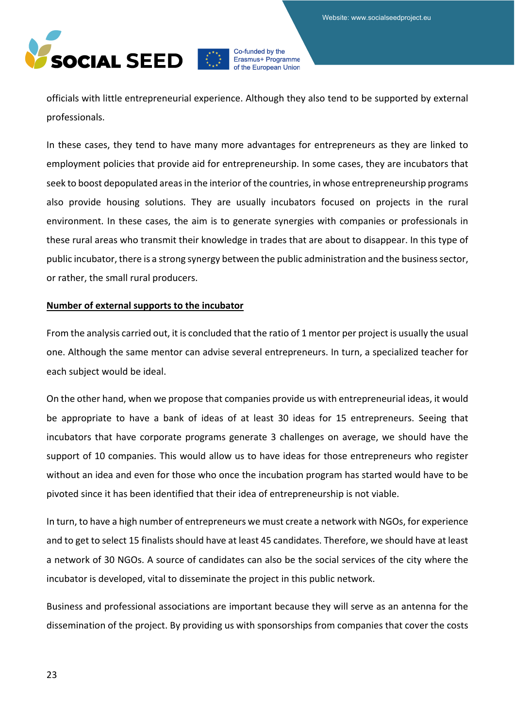

officials with little entrepreneurial experience. Although they also tend to be supported by external professionals.

In these cases, they tend to have many more advantages for entrepreneurs as they are linked to employment policies that provide aid for entrepreneurship. In some cases, they are incubators that seek to boost depopulated areas in the interior of the countries, in whose entrepreneurship programs also provide housing solutions. They are usually incubators focused on projects in the rural environment. In these cases, the aim is to generate synergies with companies or professionals in these rural areas who transmit their knowledge in trades that are about to disappear. In this type of public incubator, there is a strong synergy between the public administration and the business sector, or rather, the small rural producers.

#### **Number of external supports to the incubator**

From the analysis carried out, it is concluded that the ratio of 1 mentor per project is usually the usual one. Although the same mentor can advise several entrepreneurs. In turn, a specialized teacher for each subject would be ideal.

On the other hand, when we propose that companies provide us with entrepreneurial ideas, it would be appropriate to have a bank of ideas of at least 30 ideas for 15 entrepreneurs. Seeing that incubators that have corporate programs generate 3 challenges on average, we should have the support of 10 companies. This would allow us to have ideas for those entrepreneurs who register without an idea and even for those who once the incubation program has started would have to be pivoted since it has been identified that their idea of entrepreneurship is not viable.

In turn, to have a high number of entrepreneurs we must create a network with NGOs, for experience and to get to select 15 finalists should have at least 45 candidates. Therefore, we should have at least a network of 30 NGOs. A source of candidates can also be the social services of the city where the incubator is developed, vital to disseminate the project in this public network.

Business and professional associations are important because they will serve as an antenna for the dissemination of the project. By providing us with sponsorships from companies that cover the costs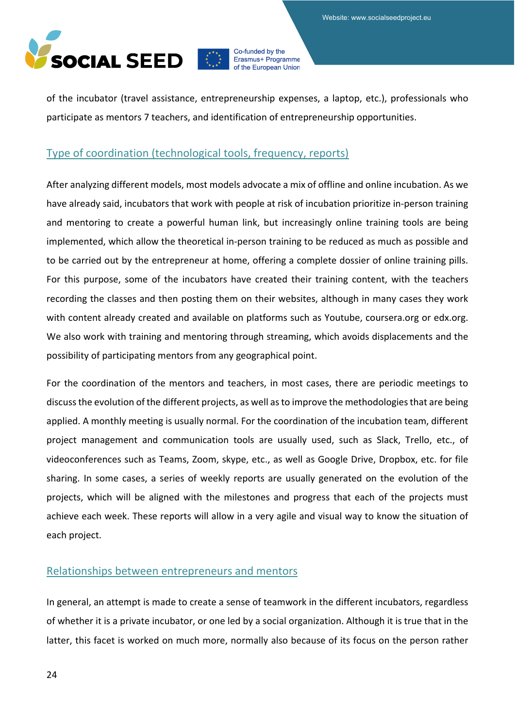

of the incubator (travel assistance, entrepreneurship expenses, a laptop, etc.), professionals who participate as mentors 7 teachers, and identification of entrepreneurship opportunities.

### <span id="page-23-0"></span>Type of coordination (technological tools, frequency, reports)

After analyzing different models, most models advocate a mix of offline and online incubation. As we have already said, incubators that work with people at risk of incubation prioritize in-person training and mentoring to create a powerful human link, but increasingly online training tools are being implemented, which allow the theoretical in-person training to be reduced as much as possible and to be carried out by the entrepreneur at home, offering a complete dossier of online training pills. For this purpose, some of the incubators have created their training content, with the teachers recording the classes and then posting them on their websites, although in many cases they work with content already created and available on platforms such as Youtube, coursera.org or edx.org. We also work with training and mentoring through streaming, which avoids displacements and the possibility of participating mentors from any geographical point.

For the coordination of the mentors and teachers, in most cases, there are periodic meetings to discuss the evolution of the different projects, as well as to improve the methodologies that are being applied. A monthly meeting is usually normal. For the coordination of the incubation team, different project management and communication tools are usually used, such as Slack, Trello, etc., of videoconferences such as Teams, Zoom, skype, etc., as well as Google Drive, Dropbox, etc. for file sharing. In some cases, a series of weekly reports are usually generated on the evolution of the projects, which will be aligned with the milestones and progress that each of the projects must achieve each week. These reports will allow in a very agile and visual way to know the situation of each project.

#### <span id="page-23-1"></span>Relationships between entrepreneurs and mentors

In general, an attempt is made to create a sense of teamwork in the different incubators, regardless of whether it is a private incubator, or one led by a social organization. Although it is true that in the latter, this facet is worked on much more, normally also because of its focus on the person rather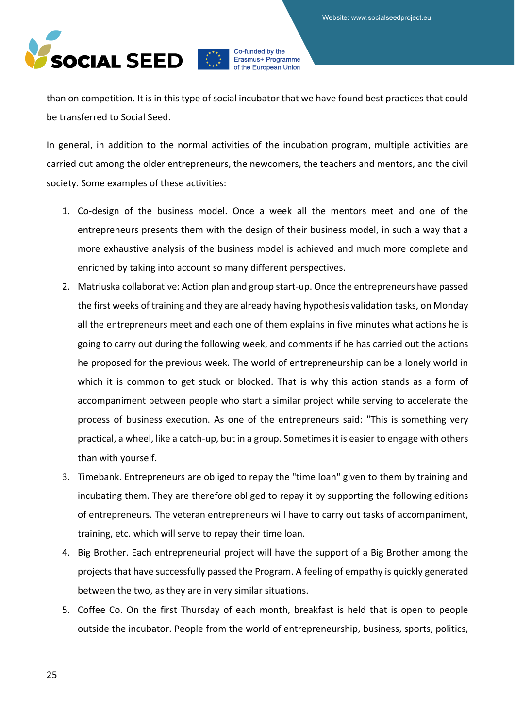

than on competition. It is in this type of social incubator that we have found best practices that could be transferred to Social Seed.

In general, in addition to the normal activities of the incubation program, multiple activities are carried out among the older entrepreneurs, the newcomers, the teachers and mentors, and the civil society. Some examples of these activities:

- 1. Co-design of the business model. Once a week all the mentors meet and one of the entrepreneurs presents them with the design of their business model, in such a way that a more exhaustive analysis of the business model is achieved and much more complete and enriched by taking into account so many different perspectives.
- 2. Matriuska collaborative: Action plan and group start-up. Once the entrepreneurs have passed the first weeks of training and they are already having hypothesis validation tasks, on Monday all the entrepreneurs meet and each one of them explains in five minutes what actions he is going to carry out during the following week, and comments if he has carried out the actions he proposed for the previous week. The world of entrepreneurship can be a lonely world in which it is common to get stuck or blocked. That is why this action stands as a form of accompaniment between people who start a similar project while serving to accelerate the process of business execution. As one of the entrepreneurs said: "This is something very practical, a wheel, like a catch-up, but in a group. Sometimes it is easier to engage with others than with yourself.
- 3. Timebank. Entrepreneurs are obliged to repay the "time loan" given to them by training and incubating them. They are therefore obliged to repay it by supporting the following editions of entrepreneurs. The veteran entrepreneurs will have to carry out tasks of accompaniment, training, etc. which will serve to repay their time loan.
- 4. Big Brother. Each entrepreneurial project will have the support of a Big Brother among the projects that have successfully passed the Program. A feeling of empathy is quickly generated between the two, as they are in very similar situations.
- 5. Coffee Co. On the first Thursday of each month, breakfast is held that is open to people outside the incubator. People from the world of entrepreneurship, business, sports, politics,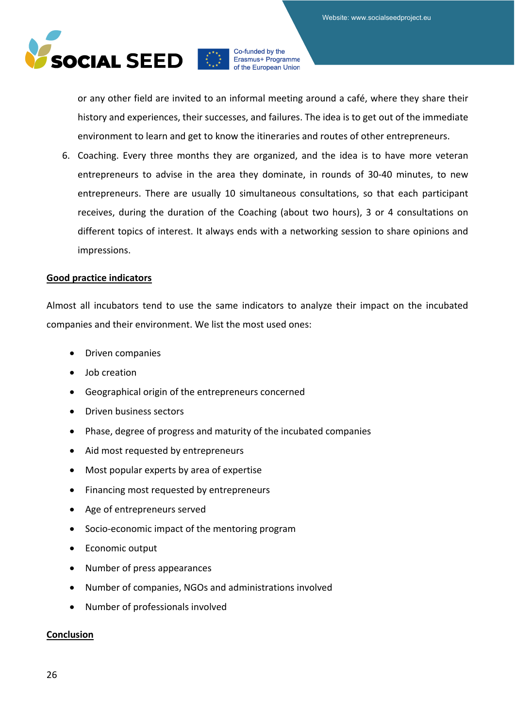

or any other field are invited to an informal meeting around a café, where they share their history and experiences, their successes, and failures. The idea is to get out of the immediate environment to learn and get to know the itineraries and routes of other entrepreneurs.

6. Coaching. Every three months they are organized, and the idea is to have more veteran entrepreneurs to advise in the area they dominate, in rounds of 30-40 minutes, to new entrepreneurs. There are usually 10 simultaneous consultations, so that each participant receives, during the duration of the Coaching (about two hours), 3 or 4 consultations on different topics of interest. It always ends with a networking session to share opinions and impressions.

#### **Good practice indicators**

Almost all incubators tend to use the same indicators to analyze their impact on the incubated companies and their environment. We list the most used ones:

- Driven companies
- Job creation
- Geographical origin of the entrepreneurs concerned
- Driven business sectors
- Phase, degree of progress and maturity of the incubated companies
- Aid most requested by entrepreneurs
- Most popular experts by area of expertise
- Financing most requested by entrepreneurs
- Age of entrepreneurs served
- Socio-economic impact of the mentoring program
- Economic output
- Number of press appearances
- Number of companies, NGOs and administrations involved
- Number of professionals involved

#### **Conclusion**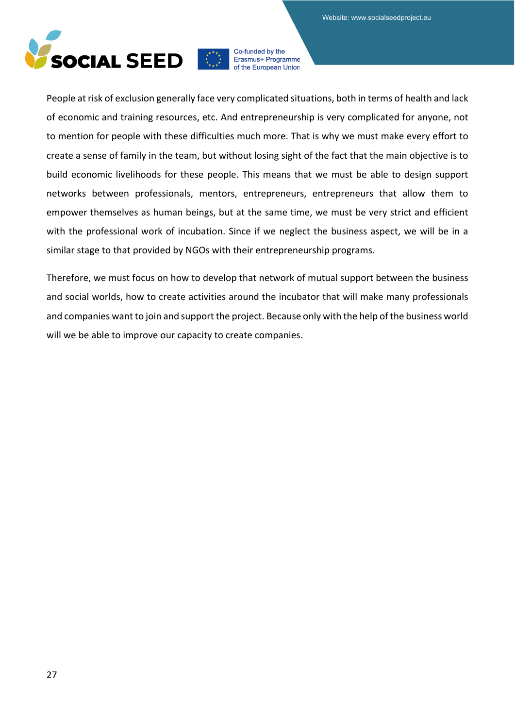

People at risk of exclusion generally face very complicated situations, both in terms of health and lack of economic and training resources, etc. And entrepreneurship is very complicated for anyone, not to mention for people with these difficulties much more. That is why we must make every effort to create a sense of family in the team, but without losing sight of the fact that the main objective is to build economic livelihoods for these people. This means that we must be able to design support networks between professionals, mentors, entrepreneurs, entrepreneurs that allow them to empower themselves as human beings, but at the same time, we must be very strict and efficient with the professional work of incubation. Since if we neglect the business aspect, we will be in a similar stage to that provided by NGOs with their entrepreneurship programs.

Therefore, we must focus on how to develop that network of mutual support between the business and social worlds, how to create activities around the incubator that will make many professionals and companies want to join and support the project. Because only with the help of the business world will we be able to improve our capacity to create companies.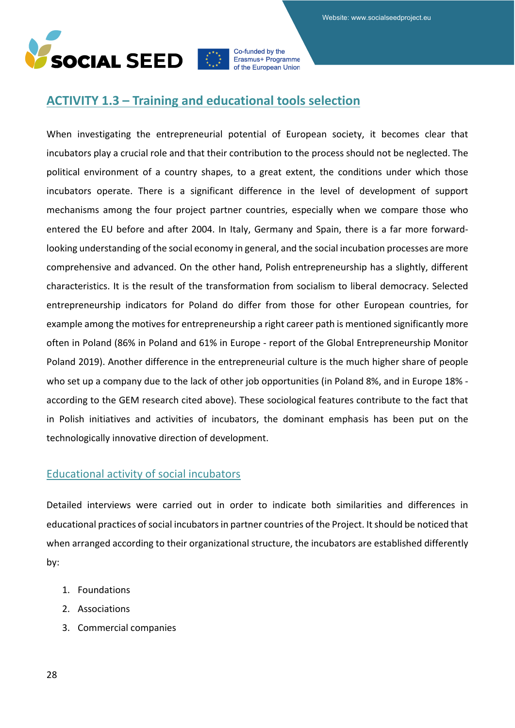

# <span id="page-27-0"></span>**ACTIVITY 1.3 – Training and educational tools selection**

When investigating the entrepreneurial potential of European society, it becomes clear that incubators play a crucial role and that their contribution to the process should not be neglected. The political environment of a country shapes, to a great extent, the conditions under which those incubators operate. There is a significant difference in the level of development of support mechanisms among the four project partner countries, especially when we compare those who entered the EU before and after 2004. In Italy, Germany and Spain, there is a far more forwardlooking understanding of the social economy in general, and the social incubation processes are more comprehensive and advanced. On the other hand, Polish entrepreneurship has a slightly, different characteristics. It is the result of the transformation from socialism to liberal democracy. Selected entrepreneurship indicators for Poland do differ from those for other European countries, for example among the motives for entrepreneurship a right career path is mentioned significantly more often in Poland (86% in Poland and 61% in Europe - report of the Global Entrepreneurship Monitor Poland 2019). Another difference in the entrepreneurial culture is the much higher share of people who set up a company due to the lack of other job opportunities (in Poland 8%, and in Europe 18% according to the GEM research cited above). These sociological features contribute to the fact that in Polish initiatives and activities of incubators, the dominant emphasis has been put on the technologically innovative direction of development.

# <span id="page-27-1"></span>Educational activity of social incubators

Detailed interviews were carried out in order to indicate both similarities and differences in educational practices of social incubators in partner countries of the Project. It should be noticed that when arranged according to their organizational structure, the incubators are established differently by:

- 1. Foundations
- 2. Associations
- 3. Commercial companies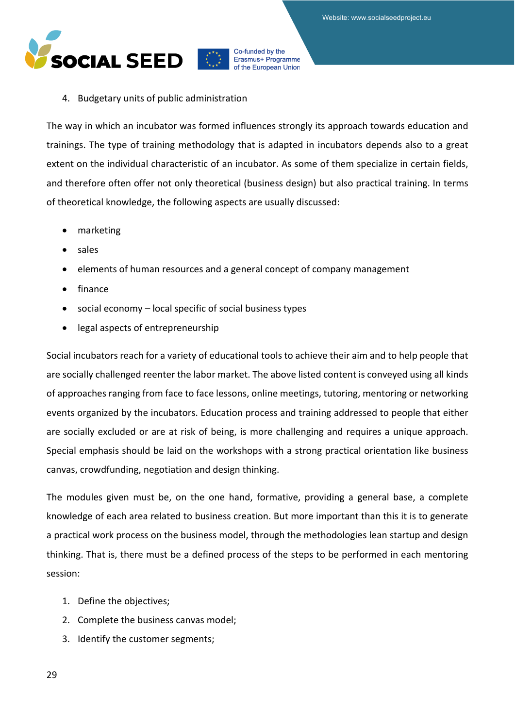

#### 4. Budgetary units of public administration

The way in which an incubator was formed influences strongly its approach towards education and trainings. The type of training methodology that is adapted in incubators depends also to a great extent on the individual characteristic of an incubator. As some of them specialize in certain fields, and therefore often offer not only theoretical (business design) but also practical training. In terms of theoretical knowledge, the following aspects are usually discussed:

- marketing
- sales
- elements of human resources and a general concept of company management
- finance
- social economy local specific of social business types
- legal aspects of entrepreneurship

Social incubators reach for a variety of educational tools to achieve their aim and to help people that are socially challenged reenter the labor market. The above listed content is conveyed using all kinds of approaches ranging from face to face lessons, online meetings, tutoring, mentoring or networking events organized by the incubators. Education process and training addressed to people that either are socially excluded or are at risk of being, is more challenging and requires a unique approach. Special emphasis should be laid on the workshops with a strong practical orientation like business canvas, crowdfunding, negotiation and design thinking.

The modules given must be, on the one hand, formative, providing a general base, a complete knowledge of each area related to business creation. But more important than this it is to generate a practical work process on the business model, through the methodologies lean startup and design thinking. That is, there must be a defined process of the steps to be performed in each mentoring session:

- 1. Define the objectives;
- 2. Complete the business canvas model;
- 3. Identify the customer segments;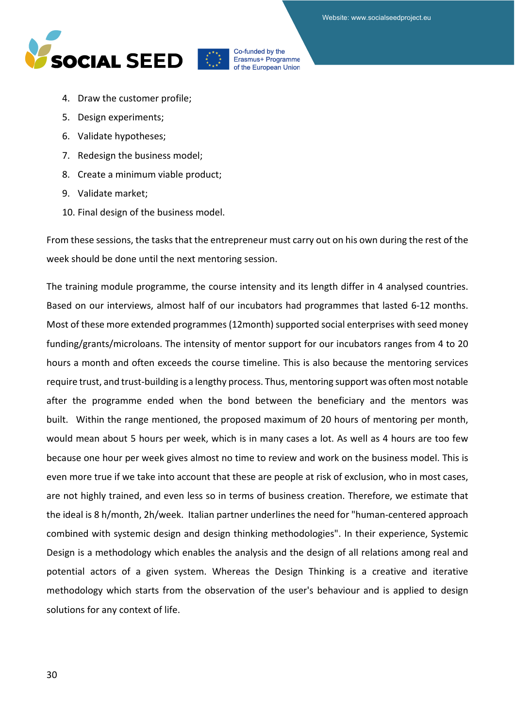



- 4. Draw the customer profile;
- 5. Design experiments;
- 6. Validate hypotheses;
- 7. Redesign the business model;
- 8. Create a minimum viable product;
- 9. Validate market;
- 10. Final design of the business model.

From these sessions, the tasks that the entrepreneur must carry out on his own during the rest of the week should be done until the next mentoring session.

The training module programme, the course intensity and its length differ in 4 analysed countries. Based on our interviews, almost half of our incubators had programmes that lasted 6-12 months. Most of these more extended programmes (12month) supported social enterprises with seed money funding/grants/microloans. The intensity of mentor support for our incubators ranges from 4 to 20 hours a month and often exceeds the course timeline. This is also because the mentoring services require trust, and trust-building is a lengthy process. Thus, mentoring support was often most notable after the programme ended when the bond between the beneficiary and the mentors was built. Within the range mentioned, the proposed maximum of 20 hours of mentoring per month, would mean about 5 hours per week, which is in many cases a lot. As well as 4 hours are too few because one hour per week gives almost no time to review and work on the business model. This is even more true if we take into account that these are people at risk of exclusion, who in most cases, are not highly trained, and even less so in terms of business creation. Therefore, we estimate that the ideal is 8 h/month, 2h/week. Italian partner underlines the need for "human-centered approach combined with systemic design and design thinking methodologies". In their experience, Systemic Design is a methodology which enables the analysis and the design of all relations among real and potential actors of a given system. Whereas the Design Thinking is a creative and iterative methodology which starts from the observation of the user's behaviour and is applied to design solutions for any context of life.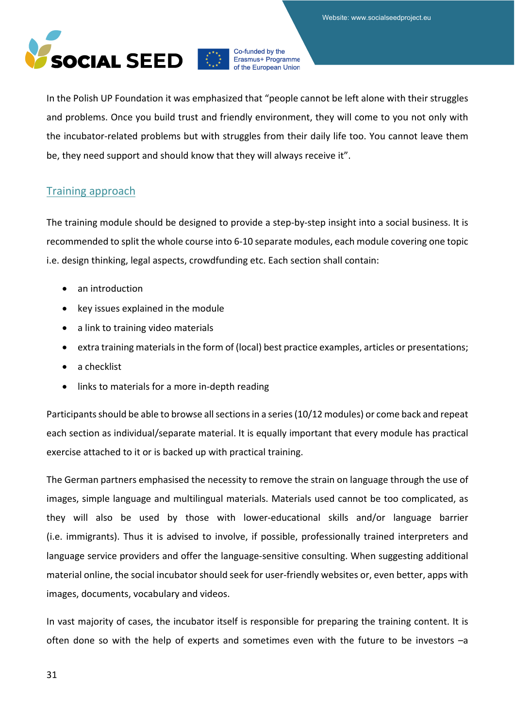

In the Polish UP Foundation it was emphasized that "people cannot be left alone with their struggles and problems. Once you build trust and friendly environment, they will come to you not only with the incubator-related problems but with struggles from their daily life too. You cannot leave them be, they need support and should know that they will always receive it".

### <span id="page-30-0"></span>Training approach

The training module should be designed to provide a step-by-step insight into a social business. It is recommended to split the whole course into 6-10 separate modules, each module covering one topic i.e. design thinking, legal aspects, crowdfunding etc. Each section shall contain:

- an introduction
- key issues explained in the module
- a link to training video materials
- extra training materials in the form of (local) best practice examples, articles or presentations;
- a checklist
- links to materials for a more in-depth reading

Participants should be able to browse all sections in a series (10/12 modules) or come back and repeat each section as individual/separate material. It is equally important that every module has practical exercise attached to it or is backed up with practical training.

The German partners emphasised the necessity to remove the strain on language through the use of images, simple language and multilingual materials. Materials used cannot be too complicated, as they will also be used by those with lower-educational skills and/or language barrier (i.e. immigrants). Thus it is advised to involve, if possible, professionally trained interpreters and language service providers and offer the language-sensitive consulting. When suggesting additional material online, the social incubator should seek for user-friendly websites or, even better, apps with images, documents, vocabulary and videos.

In vast majority of cases, the incubator itself is responsible for preparing the training content. It is often done so with the help of experts and sometimes even with the future to be investors –a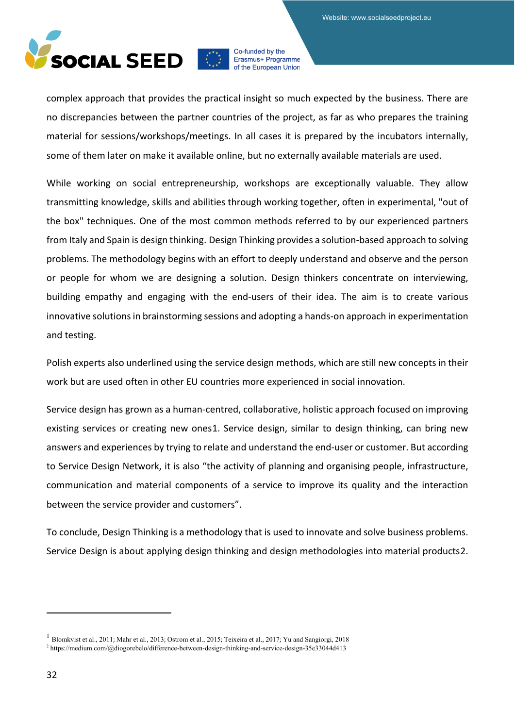

complex approach that provides the practical insight so much expected by the business. There are no discrepancies between the partner countries of the project, as far as who prepares the training material for sessions/workshops/meetings. In all cases it is prepared by the incubators internally, some of them later on make it available online, but no externally available materials are used.

While working on social entrepreneurship, workshops are exceptionally valuable. They allow transmitting knowledge, skills and abilities through working together, often in experimental, "out of the box" techniques. One of the most common methods referred to by our experienced partners from Italy and Spain is design thinking. Design Thinking provides a solution-based approach to solving problems. The methodology begins with an effort to deeply understand and observe and the person or people for whom we are designing a solution. Design thinkers concentrate on interviewing, building empathy and engaging with the end-users of their idea. The aim is to create various innovative solutions in brainstorming sessions and adopting a hands-on approach in experimentation and testing.

Polish experts also underlined using the service design methods, which are still new concepts in their work but are used often in other EU countries more experienced in social innovation.

Service design has grown as a human-centred, collaborative, holistic approach focused on improving existing services or creating new ones[1.](#page-31-0) Service design, similar to design thinking, can bring new answers and experiences by trying to relate and understand the end-user or customer. But according to Service Design Network, it is also "the activity of planning and organising people, infrastructure, communication and material components of a service to improve its quality and the interaction between the service provider and customers".

To conclude, Design Thinking is a methodology that is used to innovate and solve business problems. Service Design is about applying design thinking and design methodologies into material products[2](#page-31-1).

<span id="page-31-0"></span><sup>&</sup>lt;sup>1</sup> [Blomkvist et al., 2011](https://www.emerald.com/insight/content/doi/10.1108/JOSM-07-2017-0178/full/html#ref015); [Mahr et al., 2013](https://www.emerald.com/insight/content/doi/10.1108/JOSM-07-2017-0178/full/html#ref079); [Ostrom et al., 2015](https://www.emerald.com/insight/content/doi/10.1108/JOSM-07-2017-0178/full/html#ref090); [Teixeira et al., 2017](https://www.emerald.com/insight/content/doi/10.1108/JOSM-07-2017-0178/full/html#ref116); [Yu and Sangiorgi, 2018](https://www.emerald.com/insight/content/doi/10.1108/JOSM-07-2017-0178/full/html#ref132)

<span id="page-31-1"></span><sup>2</sup> <https://medium.com/@diogorebelo/difference-between-design-thinking-and-service-design-35e33044d413>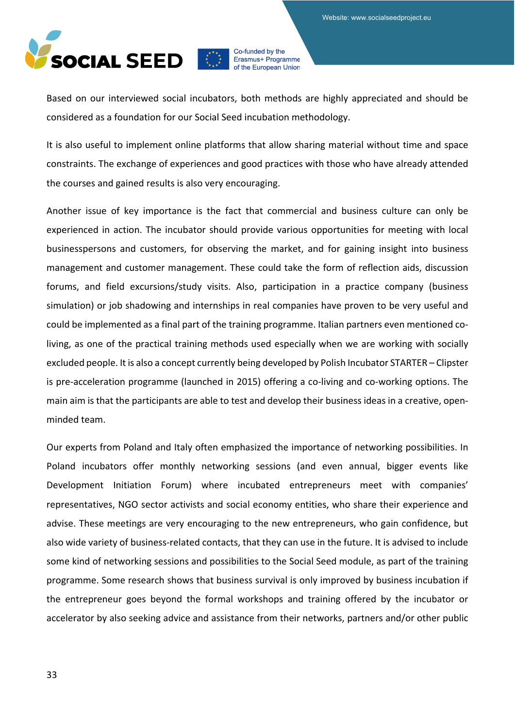

Based on our interviewed social incubators, both methods are highly appreciated and should be considered as a foundation for our Social Seed incubation methodology.

It is also useful to implement online platforms that allow sharing material without time and space constraints. The exchange of experiences and good practices with those who have already attended the courses and gained results is also very encouraging.

Another issue of key importance is the fact that commercial and business culture can only be experienced in action. The incubator should provide various opportunities for meeting with local businesspersons and customers, for observing the market, and for gaining insight into business management and customer management. These could take the form of reflection aids, discussion forums, and field excursions/study visits. Also, participation in a practice company (business simulation) or job shadowing and internships in real companies have proven to be very useful and could be implemented as a final part of the training programme. Italian partners even mentioned coliving, as one of the practical training methods used especially when we are working with socially excluded people. It is also a concept currently being developed by Polish Incubator STARTER – Clipster is pre-acceleration programme (launched in 2015) offering a co-living and co-working options. The main aim is that the participants are able to test and develop their business ideas in a creative, openminded team.

Our experts from Poland and Italy often emphasized the importance of networking possibilities. In Poland incubators offer monthly networking sessions (and even annual, bigger events like Development Initiation Forum) where incubated entrepreneurs meet with companies' representatives, NGO sector activists and social economy entities, who share their experience and advise. These meetings are very encouraging to the new entrepreneurs, who gain confidence, but also wide variety of business-related contacts, that they can use in the future. It is advised to include some kind of networking sessions and possibilities to the Social Seed module, as part of the training programme. Some research shows that business survival is only improved by business incubation if the entrepreneur goes beyond the formal workshops and training offered by the incubator or accelerator by also seeking advice and assistance from their networks, partners and/or other public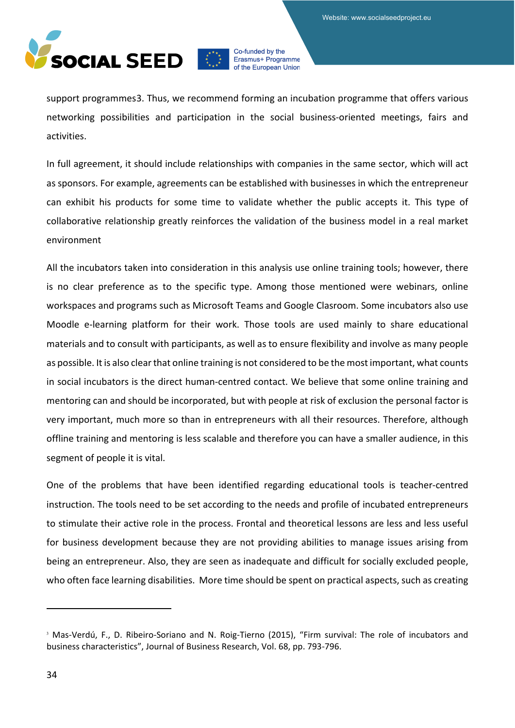

support programmes[3.](#page-33-0) Thus, we recommend forming an incubation programme that offers various networking possibilities and participation in the social business-oriented meetings, fairs and activities.

In full agreement, it should include relationships with companies in the same sector, which will act as sponsors. For example, agreements can be established with businesses in which the entrepreneur can exhibit his products for some time to validate whether the public accepts it. This type of collaborative relationship greatly reinforces the validation of the business model in a real market environment

All the incubators taken into consideration in this analysis use online training tools; however, there is no clear preference as to the specific type. Among those mentioned were webinars, online workspaces and programs such as Microsoft Teams and Google Clasroom. Some incubators also use Moodle e-learning platform for their work. Those tools are used mainly to share educational materials and to consult with participants, as well as to ensure flexibility and involve as many people as possible. It is also clear that online training is not considered to be the most important, what counts in social incubators is the direct human-centred contact. We believe that some online training and mentoring can and should be incorporated, but with people at risk of exclusion the personal factor is very important, much more so than in entrepreneurs with all their resources. Therefore, although offline training and mentoring is less scalable and therefore you can have a smaller audience, in this segment of people it is vital.

One of the problems that have been identified regarding educational tools is teacher-centred instruction. The tools need to be set according to the needs and profile of incubated entrepreneurs to stimulate their active role in the process. Frontal and theoretical lessons are less and less useful for business development because they are not providing abilities to manage issues arising from being an entrepreneur. Also, they are seen as inadequate and difficult for socially excluded people, who often face learning disabilities. More time should be spent on practical aspects, such as creating

<span id="page-33-0"></span><sup>&</sup>lt;sup>3</sup> Mas-Verdú, F., D. Ribeiro-Soriano and N. Roig-Tierno (2015), "Firm survival: The role of incubators and business characteristics", Journal of Business Research, Vol. 68, pp. 793-796.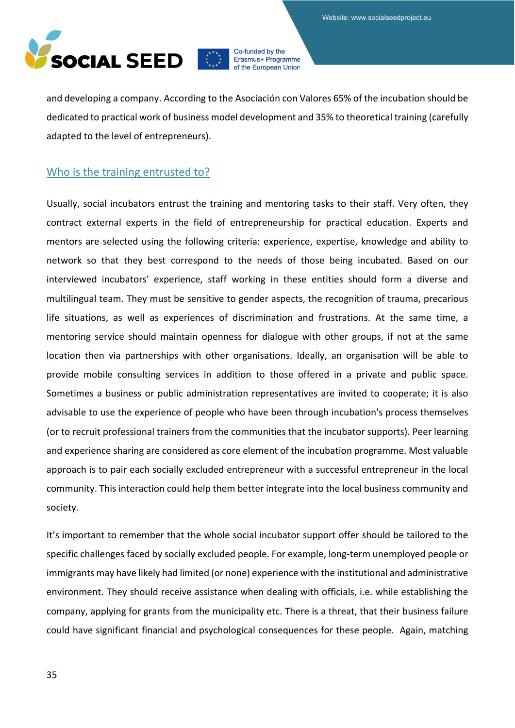

and developing a company. According to the Asociación con Valores 65% of the incubation should be dedicated to practical work of business model development and 35% to theoretical training (carefully adapted to the level of entrepreneurs).

### <span id="page-34-0"></span>Who is the training entrusted to?

Usually, social incubators entrust the training and mentoring tasks to their staff. Very often, they contract external experts in the field of entrepreneurship for practical education. Experts and mentors are selected using the following criteria: experience, expertise, knowledge and ability to network so that they best correspond to the needs of those being incubated. Based on our interviewed incubators' experience, staff working in these entities should form a diverse and multilingual team. They must be sensitive to gender aspects, the recognition of trauma, precarious life situations, as well as experiences of discrimination and frustrations. At the same time, a mentoring service should maintain openness for dialogue with other groups, if not at the same location then via partnerships with other organisations. Ideally, an organisation will be able to provide mobile consulting services in addition to those offered in a private and public space. Sometimes a business or public administration representatives are invited to cooperate; it is also advisable to use the experience of people who have been through incubation's process themselves (or to recruit professional trainers from the communities that the incubator supports). Peer learning and experience sharing are considered as core element of the incubation programme. Most valuable approach is to pair each socially excluded entrepreneur with a successful entrepreneur in the local community. This interaction could help them better integrate into the local business community and society.

It's important to remember that the whole social incubator support offer should be tailored to the specific challenges faced by socially excluded people. For example, long-term unemployed people or immigrants may have likely had limited (or none) experience with the institutional and administrative environment. They should receive assistance when dealing with officials, i.e. while establishing the company, applying for grants from the municipality etc. There is a threat, that their business failure could have significant financial and psychological consequences for these people. Again, matching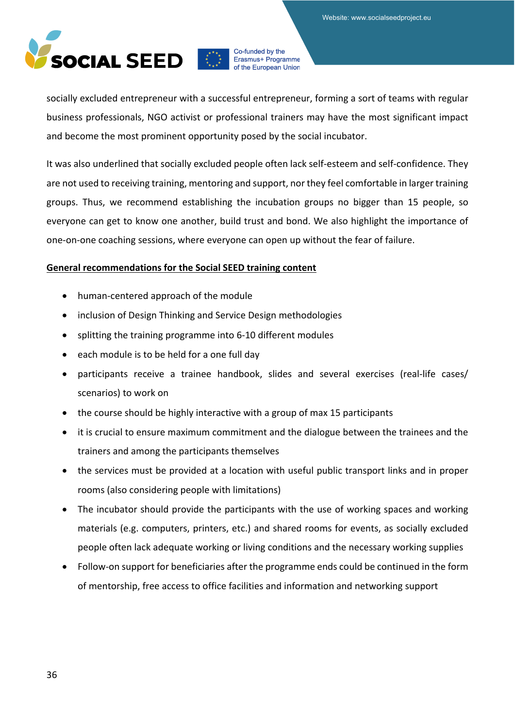

socially excluded entrepreneur with a successful entrepreneur, forming a sort of teams with regular business professionals, NGO activist or professional trainers may have the most significant impact and become the most prominent opportunity posed by the social incubator.

It was also underlined that socially excluded people often lack self-esteem and self-confidence. They are not used to receiving training, mentoring and support, nor they feel comfortable in larger training groups. Thus, we recommend establishing the incubation groups no bigger than 15 people, so everyone can get to know one another, build trust and bond. We also highlight the importance of one-on-one coaching sessions, where everyone can open up without the fear of failure.

#### **General recommendations for the Social SEED training content**

- human-centered approach of the module
- inclusion of Design Thinking and Service Design methodologies
- splitting the training programme into 6-10 different modules
- each module is to be held for a one full day
- participants receive a trainee handbook, slides and several exercises (real-life cases/ scenarios) to work on
- the course should be highly interactive with a group of max 15 participants
- it is crucial to ensure maximum commitment and the dialogue between the trainees and the trainers and among the participants themselves
- the services must be provided at a location with useful public transport links and in proper rooms (also considering people with limitations)
- The incubator should provide the participants with the use of working spaces and working materials (e.g. computers, printers, etc.) and shared rooms for events, as socially excluded people often lack adequate working or living conditions and the necessary working supplies
- Follow-on support for beneficiaries after the programme ends could be continued in the form of mentorship, free access to office facilities and information and networking support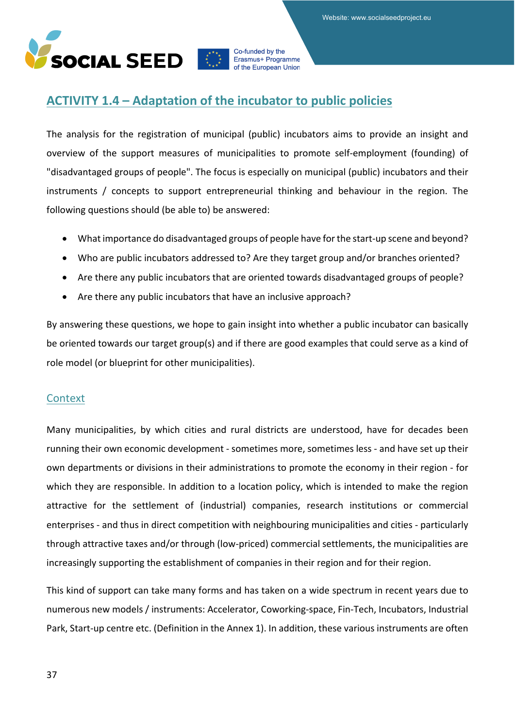

# **ACTIVITY 1.4 – Adaptation of the incubator to public policies**

The analysis for the registration of municipal (public) incubators aims to provide an insight and overview of the support measures of municipalities to promote self-employment (founding) of "disadvantaged groups of people". The focus is especially on municipal (public) incubators and their instruments / concepts to support entrepreneurial thinking and behaviour in the region. The following questions should (be able to) be answered:

- What importance do disadvantaged groups of people have for the start-up scene and beyond?
- Who are public incubators addressed to? Are they target group and/or branches oriented?
- Are there any public incubators that are oriented towards disadvantaged groups of people?
- Are there any public incubators that have an inclusive approach?

By answering these questions, we hope to gain insight into whether a public incubator can basically be oriented towards our target group(s) and if there are good examples that could serve as a kind of role model (or blueprint for other municipalities).

## **Context**

Many municipalities, by which cities and rural districts are understood, have for decades been running their own economic development - sometimes more, sometimes less - and have set up their own departments or divisions in their administrations to promote the economy in their region - for which they are responsible. In addition to a location policy, which is intended to make the region attractive for the settlement of (industrial) companies, research institutions or commercial enterprises - and thus in direct competition with neighbouring municipalities and cities - particularly through attractive taxes and/or through (low-priced) commercial settlements, the municipalities are increasingly supporting the establishment of companies in their region and for their region.

This kind of support can take many forms and has taken on a wide spectrum in recent years due to numerous new models / instruments: Accelerator, Coworking-space, Fin-Tech, Incubators, Industrial Park, Start-up centre etc. (Definition in the Annex 1). In addition, these various instruments are often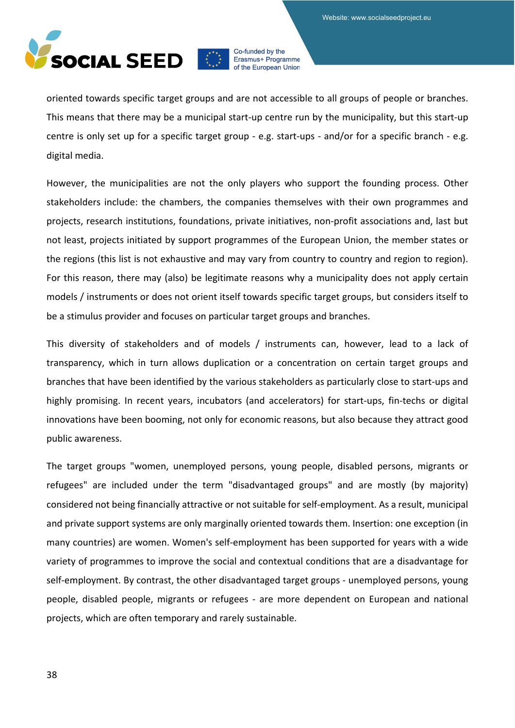

oriented towards specific target groups and are not accessible to all groups of people or branches. This means that there may be a municipal start-up centre run by the municipality, but this start-up centre is only set up for a specific target group - e.g. start-ups - and/or for a specific branch - e.g. digital media.

However, the municipalities are not the only players who support the founding process. Other stakeholders include: the chambers, the companies themselves with their own programmes and projects, research institutions, foundations, private initiatives, non-profit associations and, last but not least, projects initiated by support programmes of the European Union, the member states or the regions (this list is not exhaustive and may vary from country to country and region to region). For this reason, there may (also) be legitimate reasons why a municipality does not apply certain models / instruments or does not orient itself towards specific target groups, but considers itself to be a stimulus provider and focuses on particular target groups and branches.

This diversity of stakeholders and of models / instruments can, however, lead to a lack of transparency, which in turn allows duplication or a concentration on certain target groups and branches that have been identified by the various stakeholders as particularly close to start-ups and highly promising. In recent years, incubators (and accelerators) for start-ups, fin-techs or digital innovations have been booming, not only for economic reasons, but also because they attract good public awareness.

The target groups "women, unemployed persons, young people, disabled persons, migrants or refugees" are included under the term "disadvantaged groups" and are mostly (by majority) considered not being financially attractive or not suitable for self-employment. As a result, municipal and private support systems are only marginally oriented towards them. Insertion: one exception (in many countries) are women. Women's self-employment has been supported for years with a wide variety of programmes to improve the social and contextual conditions that are a disadvantage for self-employment. By contrast, the other disadvantaged target groups - unemployed persons, young people, disabled people, migrants or refugees - are more dependent on European and national projects, which are often temporary and rarely sustainable.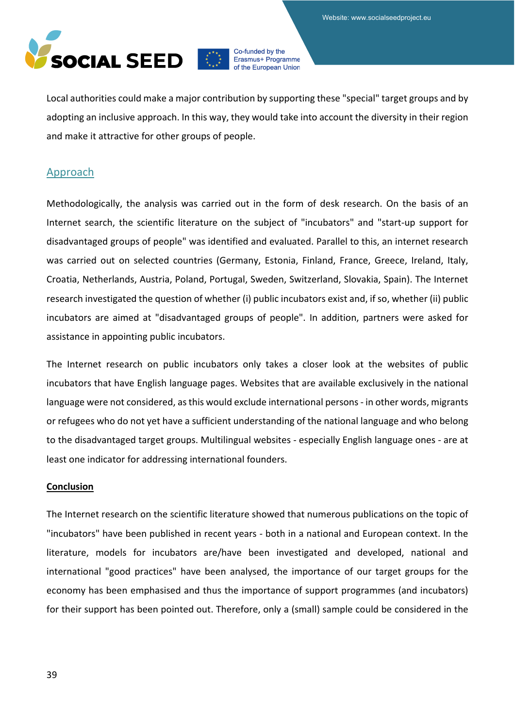

Local authorities could make a major contribution by supporting these "special" target groups and by adopting an inclusive approach. In this way, they would take into account the diversity in their region and make it attractive for other groups of people.

## Approach

Methodologically, the analysis was carried out in the form of desk research. On the basis of an Internet search, the scientific literature on the subject of "incubators" and "start-up support for disadvantaged groups of people" was identified and evaluated. Parallel to this, an internet research was carried out on selected countries (Germany, Estonia, Finland, France, Greece, Ireland, Italy, Croatia, Netherlands, Austria, Poland, Portugal, Sweden, Switzerland, Slovakia, Spain). The Internet research investigated the question of whether (i) public incubators exist and, if so, whether (ii) public incubators are aimed at "disadvantaged groups of people". In addition, partners were asked for assistance in appointing public incubators.

The Internet research on public incubators only takes a closer look at the websites of public incubators that have English language pages. Websites that are available exclusively in the national language were not considered, as this would exclude international persons - in other words, migrants or refugees who do not yet have a sufficient understanding of the national language and who belong to the disadvantaged target groups. Multilingual websites - especially English language ones - are at least one indicator for addressing international founders.

#### **Conclusion**

The Internet research on the scientific literature showed that numerous publications on the topic of "incubators" have been published in recent years - both in a national and European context. In the literature, models for incubators are/have been investigated and developed, national and international "good practices" have been analysed, the importance of our target groups for the economy has been emphasised and thus the importance of support programmes (and incubators) for their support has been pointed out. Therefore, only a (small) sample could be considered in the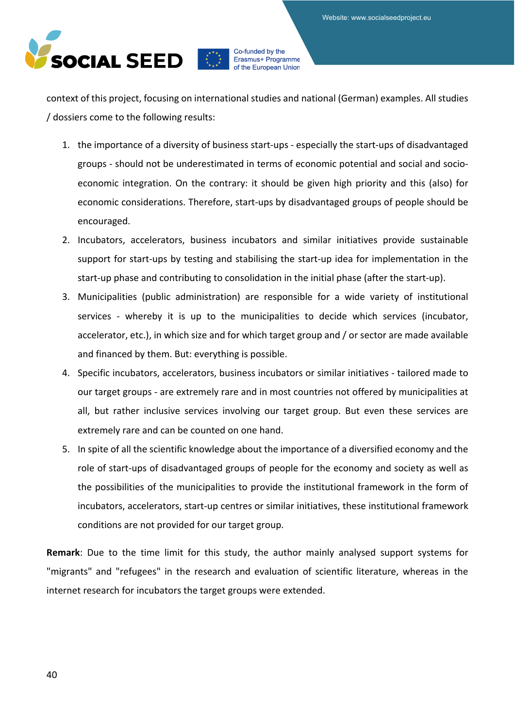

context of this project, focusing on international studies and national (German) examples. All studies / dossiers come to the following results:

- 1. the importance of a diversity of business start-ups especially the start-ups of disadvantaged groups - should not be underestimated in terms of economic potential and social and socioeconomic integration. On the contrary: it should be given high priority and this (also) for economic considerations. Therefore, start-ups by disadvantaged groups of people should be encouraged.
- 2. Incubators, accelerators, business incubators and similar initiatives provide sustainable support for start-ups by testing and stabilising the start-up idea for implementation in the start-up phase and contributing to consolidation in the initial phase (after the start-up).
- 3. Municipalities (public administration) are responsible for a wide variety of institutional services - whereby it is up to the municipalities to decide which services (incubator, accelerator, etc.), in which size and for which target group and / or sector are made available and financed by them. But: everything is possible.
- 4. Specific incubators, accelerators, business incubators or similar initiatives tailored made to our target groups - are extremely rare and in most countries not offered by municipalities at all, but rather inclusive services involving our target group. But even these services are extremely rare and can be counted on one hand.
- 5. In spite of all the scientific knowledge about the importance of a diversified economy and the role of start-ups of disadvantaged groups of people for the economy and society as well as the possibilities of the municipalities to provide the institutional framework in the form of incubators, accelerators, start-up centres or similar initiatives, these institutional framework conditions are not provided for our target group.

**Remark**: Due to the time limit for this study, the author mainly analysed support systems for "migrants" and "refugees" in the research and evaluation of scientific literature, whereas in the internet research for incubators the target groups were extended.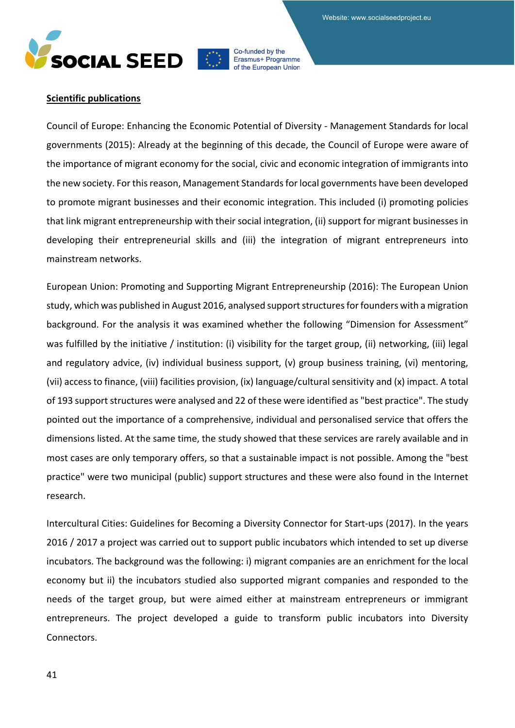Website: www.socialseedproject.eu





Erasmus+ Programme of the European Union

## **Scientific publications**

Council of Europe: Enhancing the Economic Potential of Diversity - Management Standards for local governments (2015): Already at the beginning of this decade, the Council of Europe were aware of the importance of migrant economy for the social, civic and economic integration of immigrants into the new society. For this reason, Management Standards for local governments have been developed to promote migrant businesses and their economic integration. This included (i) promoting policies that link migrant entrepreneurship with their social integration, (ii) support for migrant businesses in developing their entrepreneurial skills and (iii) the integration of migrant entrepreneurs into mainstream networks.

European Union: Promoting and Supporting Migrant Entrepreneurship (2016): The European Union study, which was published in August 2016, analysed support structures for founders with a migration background. For the analysis it was examined whether the following "Dimension for Assessment" was fulfilled by the initiative / institution: (i) visibility for the target group, (ii) networking, (iii) legal and regulatory advice, (iv) individual business support, (v) group business training, (vi) mentoring, (vii) access to finance, (viii) facilities provision, (ix) language/cultural sensitivity and (x) impact. A total of 193 support structures were analysed and 22 of these were identified as "best practice". The study pointed out the importance of a comprehensive, individual and personalised service that offers the dimensions listed. At the same time, the study showed that these services are rarely available and in most cases are only temporary offers, so that a sustainable impact is not possible. Among the "best practice" were two municipal (public) support structures and these were also found in the Internet research.

Intercultural Cities: Guidelines for Becoming a Diversity Connector for Start-ups (2017). In the years 2016 / 2017 a project was carried out to support public incubators which intended to set up diverse incubators. The background was the following: i) migrant companies are an enrichment for the local economy but ii) the incubators studied also supported migrant companies and responded to the needs of the target group, but were aimed either at mainstream entrepreneurs or immigrant entrepreneurs. The project developed a guide to transform public incubators into Diversity Connectors.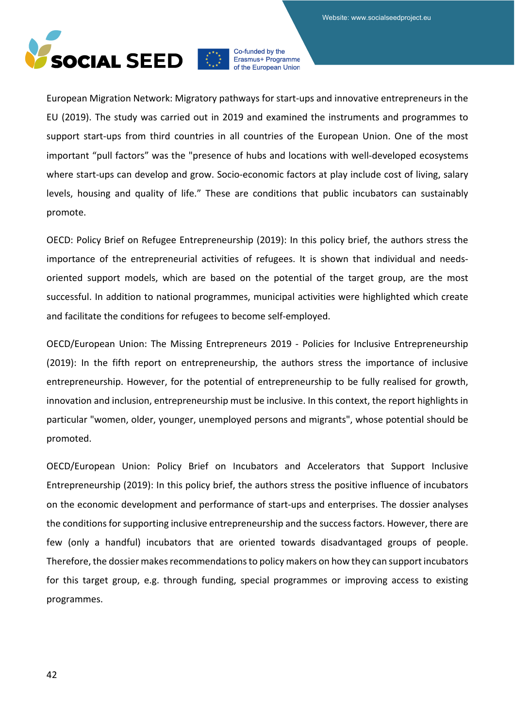

European Migration Network: Migratory pathways for start-ups and innovative entrepreneurs in the EU (2019). The study was carried out in 2019 and examined the instruments and programmes to support start-ups from third countries in all countries of the European Union. One of the most important "pull factors" was the "presence of hubs and locations with well-developed ecosystems where start-ups can develop and grow. Socio-economic factors at play include cost of living, salary levels, housing and quality of life." These are conditions that public incubators can sustainably promote.

OECD: Policy Brief on Refugee Entrepreneurship (2019): In this policy brief, the authors stress the importance of the entrepreneurial activities of refugees. It is shown that individual and needsoriented support models, which are based on the potential of the target group, are the most successful. In addition to national programmes, municipal activities were highlighted which create and facilitate the conditions for refugees to become self-employed.

OECD/European Union: The Missing Entrepreneurs 2019 - Policies for Inclusive Entrepreneurship (2019): In the fifth report on entrepreneurship, the authors stress the importance of inclusive entrepreneurship. However, for the potential of entrepreneurship to be fully realised for growth, innovation and inclusion, entrepreneurship must be inclusive. In this context, the report highlights in particular "women, older, younger, unemployed persons and migrants", whose potential should be promoted.

OECD/European Union: Policy Brief on Incubators and Accelerators that Support Inclusive Entrepreneurship (2019): In this policy brief, the authors stress the positive influence of incubators on the economic development and performance of start-ups and enterprises. The dossier analyses the conditions for supporting inclusive entrepreneurship and the success factors. However, there are few (only a handful) incubators that are oriented towards disadvantaged groups of people. Therefore, the dossier makes recommendations to policy makers on how they can support incubators for this target group, e.g. through funding, special programmes or improving access to existing programmes.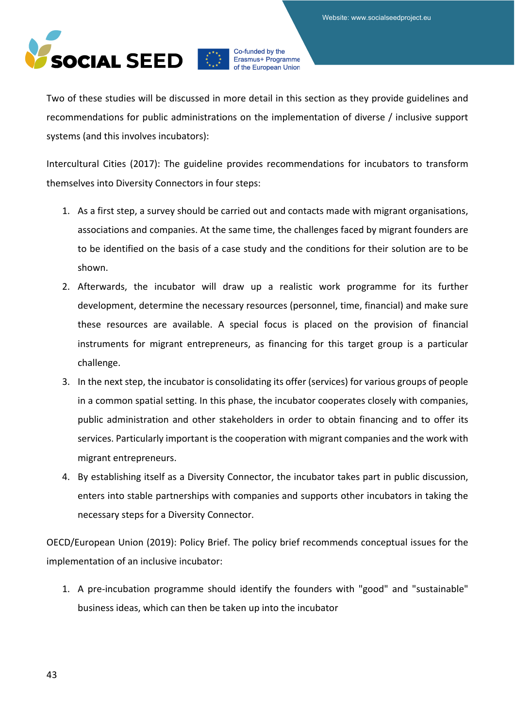

Two of these studies will be discussed in more detail in this section as they provide guidelines and recommendations for public administrations on the implementation of diverse / inclusive support systems (and this involves incubators):

Intercultural Cities (2017): The guideline provides recommendations for incubators to transform themselves into Diversity Connectors in four steps:

- 1. As a first step, a survey should be carried out and contacts made with migrant organisations, associations and companies. At the same time, the challenges faced by migrant founders are to be identified on the basis of a case study and the conditions for their solution are to be shown.
- 2. Afterwards, the incubator will draw up a realistic work programme for its further development, determine the necessary resources (personnel, time, financial) and make sure these resources are available. A special focus is placed on the provision of financial instruments for migrant entrepreneurs, as financing for this target group is a particular challenge.
- 3. In the next step, the incubator is consolidating its offer (services) for various groups of people in a common spatial setting. In this phase, the incubator cooperates closely with companies, public administration and other stakeholders in order to obtain financing and to offer its services. Particularly important is the cooperation with migrant companies and the work with migrant entrepreneurs.
- 4. By establishing itself as a Diversity Connector, the incubator takes part in public discussion, enters into stable partnerships with companies and supports other incubators in taking the necessary steps for a Diversity Connector.

OECD/European Union (2019): Policy Brief. The policy brief recommends conceptual issues for the implementation of an inclusive incubator:

1. A pre-incubation programme should identify the founders with "good" and "sustainable" business ideas, which can then be taken up into the incubator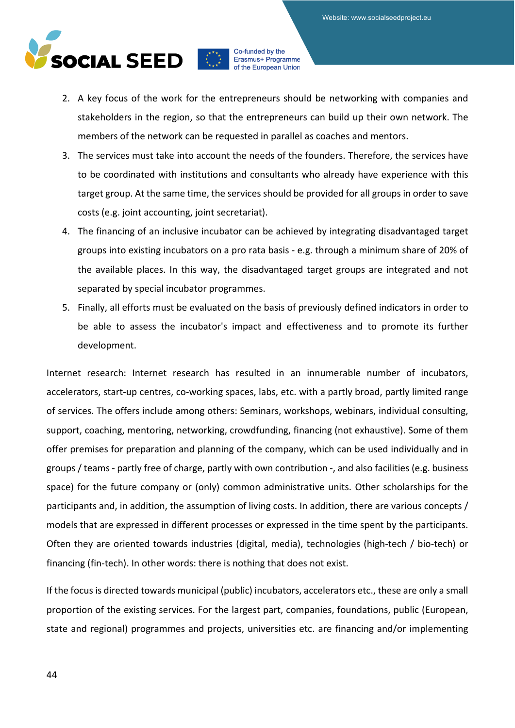

- 2. A key focus of the work for the entrepreneurs should be networking with companies and stakeholders in the region, so that the entrepreneurs can build up their own network. The members of the network can be requested in parallel as coaches and mentors.
- 3. The services must take into account the needs of the founders. Therefore, the services have to be coordinated with institutions and consultants who already have experience with this target group. At the same time, the services should be provided for all groups in order to save costs (e.g. joint accounting, joint secretariat).
- 4. The financing of an inclusive incubator can be achieved by integrating disadvantaged target groups into existing incubators on a pro rata basis - e.g. through a minimum share of 20% of the available places. In this way, the disadvantaged target groups are integrated and not separated by special incubator programmes.
- 5. Finally, all efforts must be evaluated on the basis of previously defined indicators in order to be able to assess the incubator's impact and effectiveness and to promote its further development.

Internet research: Internet research has resulted in an innumerable number of incubators, accelerators, start-up centres, co-working spaces, labs, etc. with a partly broad, partly limited range of services. The offers include among others: Seminars, workshops, webinars, individual consulting, support, coaching, mentoring, networking, crowdfunding, financing (not exhaustive). Some of them offer premises for preparation and planning of the company, which can be used individually and in groups / teams - partly free of charge, partly with own contribution -, and also facilities (e.g. business space) for the future company or (only) common administrative units. Other scholarships for the participants and, in addition, the assumption of living costs. In addition, there are various concepts / models that are expressed in different processes or expressed in the time spent by the participants. Often they are oriented towards industries (digital, media), technologies (high-tech / bio-tech) or financing (fin-tech). In other words: there is nothing that does not exist.

If the focus is directed towards municipal (public) incubators, accelerators etc., these are only a small proportion of the existing services. For the largest part, companies, foundations, public (European, state and regional) programmes and projects, universities etc. are financing and/or implementing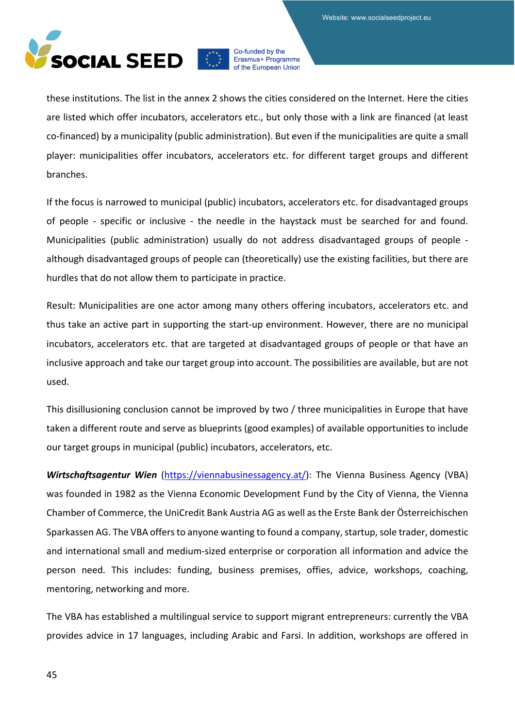

these institutions. The list in the annex 2 shows the cities considered on the Internet. Here the cities are listed which offer incubators, accelerators etc., but only those with a link are financed (at least co-financed) by a municipality (public administration). But even if the municipalities are quite a small player: municipalities offer incubators, accelerators etc. for different target groups and different branches.

If the focus is narrowed to municipal (public) incubators, accelerators etc. for disadvantaged groups of people - specific or inclusive - the needle in the haystack must be searched for and found. Municipalities (public administration) usually do not address disadvantaged groups of people although disadvantaged groups of people can (theoretically) use the existing facilities, but there are hurdles that do not allow them to participate in practice.

Result: Municipalities are one actor among many others offering incubators, accelerators etc. and thus take an active part in supporting the start-up environment. However, there are no municipal incubators, accelerators etc. that are targeted at disadvantaged groups of people or that have an inclusive approach and take our target group into account. The possibilities are available, but are not used.

This disillusioning conclusion cannot be improved by two / three municipalities in Europe that have taken a different route and serve as blueprints (good examples) of available opportunities to include our target groups in municipal (public) incubators, accelerators, etc.

*Wirtschaftsagentur Wien* [\(https://viennabusinessagency.at/\)](https://viennabusinessagency.at/): The Vienna Business Agency (VBA) was founded in 1982 as the Vienna Economic Development Fund by the City of Vienna, the Vienna Chamber of Commerce, the UniCredit Bank Austria AG as well as the Erste Bank der Österreichischen Sparkassen AG. The VBA offers to anyone wanting to found a company, startup, sole trader, domestic and international small and medium-sized enterprise or corporation all information and advice the person need. This includes: funding, business premises, offies, advice, workshops, coaching, mentoring, networking and more.

The VBA has established a multilingual service to support migrant entrepreneurs: currently the VBA provides advice in 17 languages, including Arabic and Farsi. In addition, workshops are offered in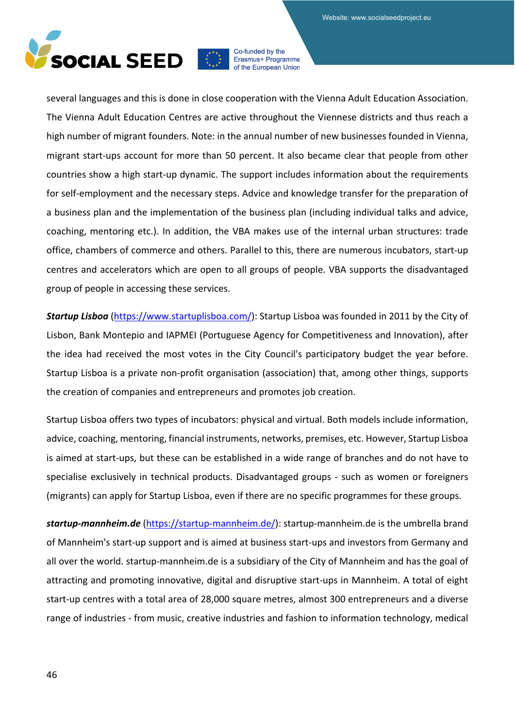

several languages and this is done in close cooperation with the Vienna Adult Education Association. The Vienna Adult Education Centres are active throughout the Viennese districts and thus reach a high number of migrant founders. Note: in the annual number of new businesses founded in Vienna, migrant start-ups account for more than 50 percent. It also became clear that people from other countries show a high start-up dynamic. The support includes information about the requirements for self-employment and the necessary steps. Advice and knowledge transfer for the preparation of a business plan and the implementation of the business plan (including individual talks and advice, coaching, mentoring etc.). In addition, the VBA makes use of the internal urban structures: trade office, chambers of commerce and others. Parallel to this, there are numerous incubators, start-up centres and accelerators which are open to all groups of people. VBA supports the disadvantaged group of people in accessing these services.

*Startup Lisboa* [\(https://www.startuplisboa.com/\)](https://www.startuplisboa.com/): Startup Lisboa was founded in 2011 by the City of Lisbon, Bank Montepio and IAPMEI (Portuguese Agency for Competitiveness and Innovation), after the idea had received the most votes in the City Council's participatory budget the year before. Startup Lisboa is a private non-profit organisation (association) that, among other things, supports the creation of companies and entrepreneurs and promotes job creation.

Startup Lisboa offers two types of incubators: physical and virtual. Both models include information, advice, coaching, mentoring, financial instruments, networks, premises, etc. However, Startup Lisboa is aimed at start-ups, but these can be established in a wide range of branches and do not have to specialise exclusively in technical products. Disadvantaged groups - such as women or foreigners (migrants) can apply for Startup Lisboa, even if there are no specific programmes for these groups.

*startup-mannheim.de* [\(https://startup-mannheim.de/\)](https://startup-mannheim.de/): startup-mannheim.de is the umbrella brand of Mannheim's start-up support and is aimed at business start-ups and investors from Germany and all over the world. startup-mannheim.de is a subsidiary of the City of Mannheim and has the goal of attracting and promoting innovative, digital and disruptive start-ups in Mannheim. A total of eight start-up centres with a total area of 28,000 square metres, almost 300 entrepreneurs and a diverse range of industries - from music, creative industries and fashion to information technology, medical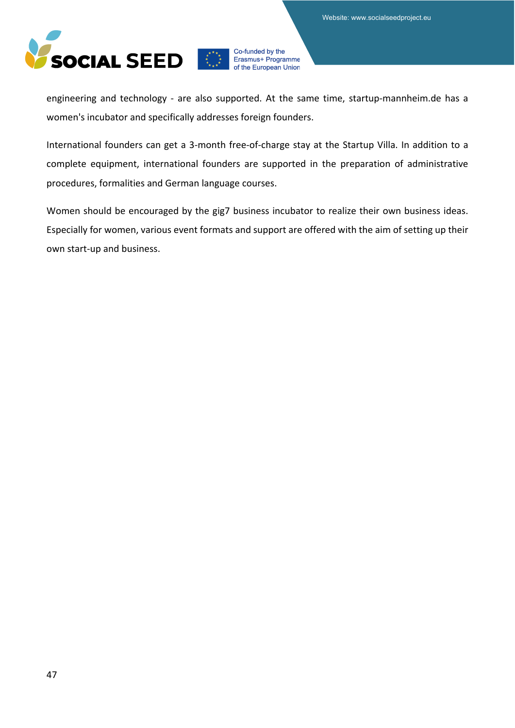

engineering and technology - are also supported. At the same time, startup-mannheim.de has a women's incubator and specifically addresses foreign founders.

International founders can get a 3-month free-of-charge stay at the Startup Villa. In addition to a complete equipment, international founders are supported in the preparation of administrative procedures, formalities and German language courses.

Women should be encouraged by the gig7 business incubator to realize their own business ideas. Especially for women, various event formats and support are offered with the aim of setting up their own start-up and business.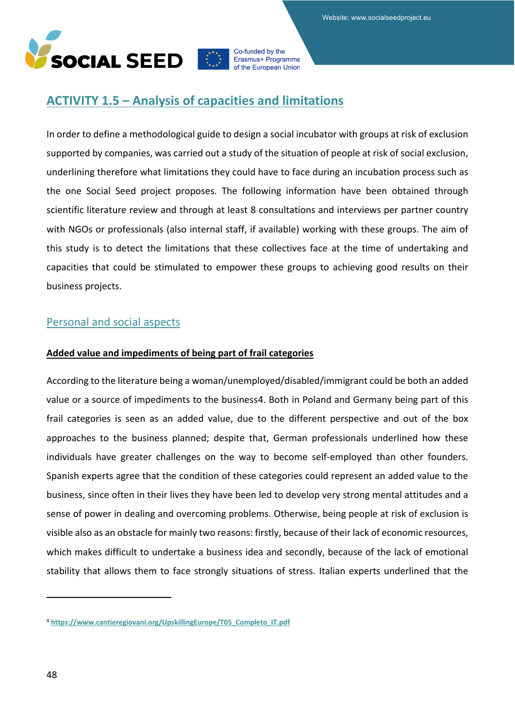

## **ACTIVITY 1.5 – Analysis of capacities and limitations**

In order to define a methodological guide to design a social incubator with groups at risk of exclusion supported by companies, was carried out a study of the situation of people at risk of social exclusion, underlining therefore what limitations they could have to face during an incubation process such as the one Social Seed project proposes. The following information have been obtained through scientific literature review and through at least 8 consultations and interviews per partner country with NGOs or professionals (also internal staff, if available) working with these groups. The aim of this study is to detect the limitations that these collectives face at the time of undertaking and capacities that could be stimulated to empower these groups to achieving good results on their business projects.

## Personal and social aspects

## **Added value and impediments of being part of frail categories**

According to the literature being a woman/unemployed/disabled/immigrant could be both an added value or a source of impediments to the business[4.](#page-47-0) Both in Poland and Germany being part of this frail categories is seen as an added value, due to the different perspective and out of the box approaches to the business planned; despite that, German professionals underlined how these individuals have greater challenges on the way to become self-employed than other founders. Spanish experts agree that the condition of these categories could represent an added value to the business, since often in their lives they have been led to develop very strong mental attitudes and a sense of power in dealing and overcoming problems. Otherwise, being people at risk of exclusion is visible also as an obstacle for mainly two reasons: firstly, because of their lack of economic resources, which makes difficult to undertake a business idea and secondly, because of the lack of emotional stability that allows them to face strongly situations of stress. Italian experts underlined that the

<span id="page-47-0"></span><sup>4</sup> **[https://www.cantieregiovani.org/UpskillingEurope/T05\\_Completo\\_IT.pdf](https://www.cantieregiovani.org/UpskillingEurope/T05_Completo_IT.pdf)**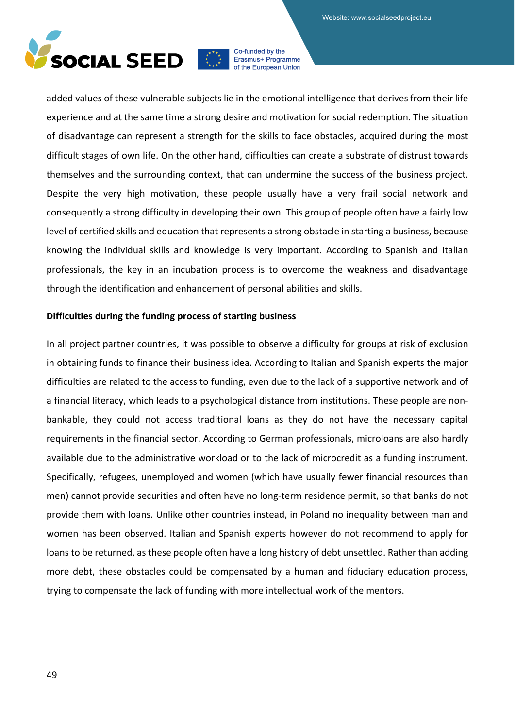

added values of these vulnerable subjects lie in the emotional intelligence that derives from their life experience and at the same time a strong desire and motivation for social redemption. The situation of disadvantage can represent a strength for the skills to face obstacles, acquired during the most difficult stages of own life. On the other hand, difficulties can create a substrate of distrust towards themselves and the surrounding context, that can undermine the success of the business project. Despite the very high motivation, these people usually have a very frail social network and consequently a strong difficulty in developing their own. This group of people often have a fairly low level of certified skills and education that represents a strong obstacle in starting a business, because knowing the individual skills and knowledge is very important. According to Spanish and Italian professionals, the key in an incubation process is to overcome the weakness and disadvantage through the identification and enhancement of personal abilities and skills.

#### **Difficulties during the funding process of starting business**

In all project partner countries, it was possible to observe a difficulty for groups at risk of exclusion in obtaining funds to finance their business idea. According to Italian and Spanish experts the major difficulties are related to the access to funding, even due to the lack of a supportive network and of a financial literacy, which leads to a psychological distance from institutions. These people are nonbankable, they could not access traditional loans as they do not have the necessary capital requirements in the financial sector. According to German professionals, microloans are also hardly available due to the administrative workload or to the lack of microcredit as a funding instrument. Specifically, refugees, unemployed and women (which have usually fewer financial resources than men) cannot provide securities and often have no long-term residence permit, so that banks do not provide them with loans. Unlike other countries instead, in Poland no inequality between man and women has been observed. Italian and Spanish experts however do not recommend to apply for loans to be returned, as these people often have a long history of debt unsettled. Rather than adding more debt, these obstacles could be compensated by a human and fiduciary education process, trying to compensate the lack of funding with more intellectual work of the mentors.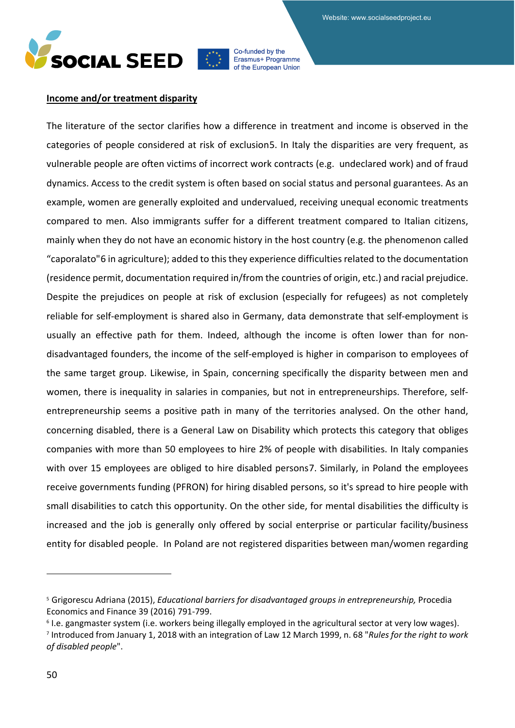

#### **Income and/or treatment disparity**

The literature of the sector clarifies how a difference in treatment and income is observed in the categories of people considered at risk of exclusion[5.](#page-49-0) In Italy the disparities are very frequent, as vulnerable people are often victims of incorrect work contracts (e.g. undeclared work) and of fraud dynamics. Access to the credit system is often based on social status and personal guarantees. As an example, women are generally exploited and undervalued, receiving unequal economic treatments compared to men. Also immigrants suffer for a different treatment compared to Italian citizens, mainly when they do not have an economic history in the host country (e.g. the phenomenon called "caporalato"[6](#page-49-1) in agriculture); added to this they experience difficulties related to the documentation (residence permit, documentation required in/from the countries of origin, etc.) and racial prejudice. Despite the prejudices on people at risk of exclusion (especially for refugees) as not completely reliable for self-employment is shared also in Germany, data demonstrate that self-employment is usually an effective path for them. Indeed, although the income is often lower than for nondisadvantaged founders, the income of the self-employed is higher in comparison to employees of the same target group. Likewise, in Spain, concerning specifically the disparity between men and women, there is inequality in salaries in companies, but not in entrepreneurships. Therefore, selfentrepreneurship seems a positive path in many of the territories analysed. On the other hand, concerning disabled, there is a General Law on Disability which protects this category that obliges companies with more than 50 employees to hire 2% of people with disabilities. In Italy companies with over 15 employees are obliged to hire disabled persons[7](#page-49-2). Similarly, in Poland the employees receive governments funding (PFRON) for hiring disabled persons, so it's spread to hire people with small disabilities to catch this opportunity. On the other side, for mental disabilities the difficulty is increased and the job is generally only offered by social enterprise or particular facility/business entity for disabled people. In Poland are not registered disparities between man/women regarding

<span id="page-49-0"></span><sup>5</sup> Grigorescu Adriana (2015), *Educational barriers for disadvantaged groups in entrepreneurship,* Procedia Economics and Finance 39 (2016) 791-799.<br><sup>6</sup> I.e. gangmaster system (i.e. workers being illegally employed in the agricultural sector at very low wages).

<span id="page-49-1"></span>

<span id="page-49-2"></span><sup>7</sup> Introduced from January 1, 2018 with an integration of Law 12 March 1999, n. 68 "*Rules for the right to work of disabled people*".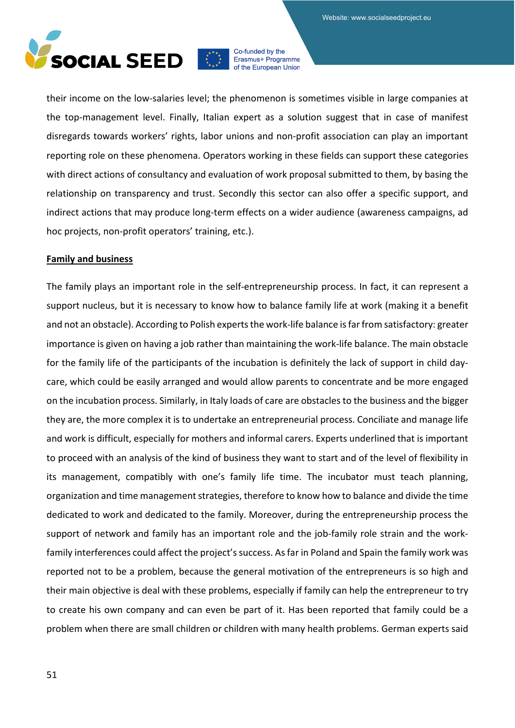

their income on the low-salaries level; the phenomenon is sometimes visible in large companies at the top-management level. Finally, Italian expert as a solution suggest that in case of manifest disregards towards workers' rights, labor unions and non-profit association can play an important reporting role on these phenomena. Operators working in these fields can support these categories with direct actions of consultancy and evaluation of work proposal submitted to them, by basing the relationship on transparency and trust. Secondly this sector can also offer a specific support, and indirect actions that may produce long-term effects on a wider audience (awareness campaigns, ad hoc projects, non-profit operators' training, etc.).

#### **Family and business**

The family plays an important role in the self-entrepreneurship process. In fact, it can represent a support nucleus, but it is necessary to know how to balance family life at work (making it a benefit and not an obstacle). According to Polish experts the work-life balance is far from satisfactory: greater importance is given on having a job rather than maintaining the work-life balance. The main obstacle for the family life of the participants of the incubation is definitely the lack of support in child daycare, which could be easily arranged and would allow parents to concentrate and be more engaged on the incubation process. Similarly, in Italy loads of care are obstacles to the business and the bigger they are, the more complex it is to undertake an entrepreneurial process. Conciliate and manage life and work is difficult, especially for mothers and informal carers. Experts underlined that is important to proceed with an analysis of the kind of business they want to start and of the level of flexibility in its management, compatibly with one's family life time. The incubator must teach planning, organization and time management strategies, therefore to know how to balance and divide the time dedicated to work and dedicated to the family. Moreover, during the entrepreneurship process the support of network and family has an important role and the job-family role strain and the workfamily interferences could affect the project's success. As far in Poland and Spain the family work was reported not to be a problem, because the general motivation of the entrepreneurs is so high and their main objective is deal with these problems, especially if family can help the entrepreneur to try to create his own company and can even be part of it. Has been reported that family could be a problem when there are small children or children with many health problems. German experts said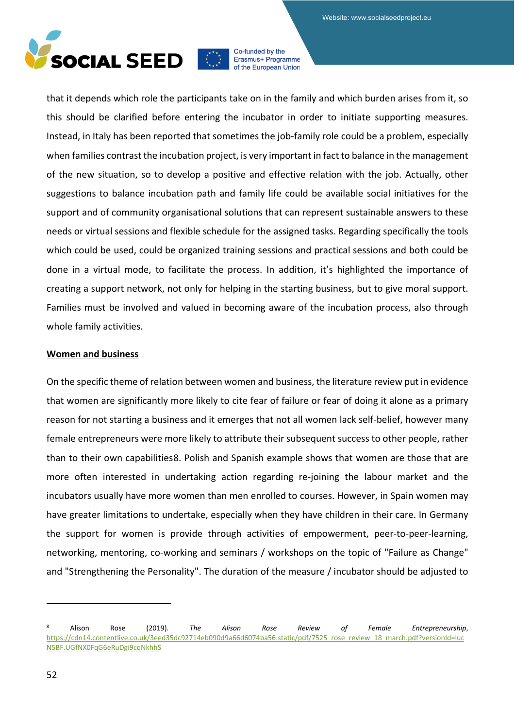

that it depends which role the participants take on in the family and which burden arises from it, so this should be clarified before entering the incubator in order to initiate supporting measures. Instead, in Italy has been reported that sometimes the job-family role could be a problem, especially when families contrast the incubation project, is very important in fact to balance in the management of the new situation, so to develop a positive and effective relation with the job. Actually, other suggestions to balance incubation path and family life could be available social initiatives for the support and of community organisational solutions that can represent sustainable answers to these needs or virtual sessions and flexible schedule for the assigned tasks. Regarding specifically the tools which could be used, could be organized training sessions and practical sessions and both could be done in a virtual mode, to facilitate the process. In addition, it's highlighted the importance of creating a support network, not only for helping in the starting business, but to give moral support. Families must be involved and valued in becoming aware of the incubation process, also through whole family activities.

#### **Women and business**

On the specific theme of relation between women and business, the literature review put in evidence that women are significantly more likely to cite fear of failure or fear of doing it alone as a primary reason for not starting a business and it emerges that not all women lack self-belief, however many female entrepreneurs were more likely to attribute their subsequent success to other people, rather than to their own capabilities[8.](#page-51-0) Polish and Spanish example shows that women are those that are more often interested in undertaking action regarding re-joining the labour market and the incubators usually have more women than men enrolled to courses. However, in Spain women may have greater limitations to undertake, especially when they have children in their care. In Germany the support for women is provide through activities of empowerment, peer-to-peer-learning, networking, mentoring, co-working and seminars / workshops on the topic of "Failure as Change" and "Strengthening the Personality". The duration of the measure / incubator should be adjusted to

<span id="page-51-0"></span><sup>8</sup> Alison Rose (2019). *The Alison Rose Review of Female Entrepreneurship*, [https://cdn14.contentlive.co.uk/3eed35dc92714eb090d9a66d6074ba56:static/pdf/7525\\_rose\\_review\\_18\\_march.pdf?versionId=luc](https://cdn14.contentlive.co.uk/3eed35dc92714eb090d9a66d6074ba56:static/pdf/7525_rose_review_18_march.pdf?versionId=lucN5BF.UGfNX0FqG6eRuDgi9cqNkhhS) [N5BF.UGfNX0FqG6eRuDgi9cqNkhhS](https://cdn14.contentlive.co.uk/3eed35dc92714eb090d9a66d6074ba56:static/pdf/7525_rose_review_18_march.pdf?versionId=lucN5BF.UGfNX0FqG6eRuDgi9cqNkhhS)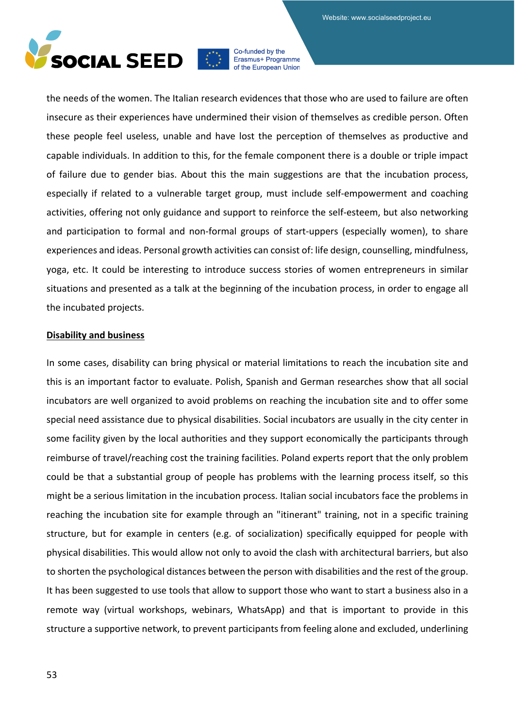

the needs of the women. The Italian research evidences that those who are used to failure are often insecure as their experiences have undermined their vision of themselves as credible person. Often these people feel useless, unable and have lost the perception of themselves as productive and capable individuals. In addition to this, for the female component there is a double or triple impact of failure due to gender bias. About this the main suggestions are that the incubation process, especially if related to a vulnerable target group, must include self-empowerment and coaching activities, offering not only guidance and support to reinforce the self-esteem, but also networking and participation to formal and non-formal groups of start-uppers (especially women), to share experiences and ideas. Personal growth activities can consist of: life design, counselling, mindfulness, yoga, etc. It could be interesting to introduce success stories of women entrepreneurs in similar situations and presented as a talk at the beginning of the incubation process, in order to engage all the incubated projects.

#### **Disability and business**

In some cases, disability can bring physical or material limitations to reach the incubation site and this is an important factor to evaluate. Polish, Spanish and German researches show that all social incubators are well organized to avoid problems on reaching the incubation site and to offer some special need assistance due to physical disabilities. Social incubators are usually in the city center in some facility given by the local authorities and they support economically the participants through reimburse of travel/reaching cost the training facilities. Poland experts report that the only problem could be that a substantial group of people has problems with the learning process itself, so this might be a serious limitation in the incubation process. Italian social incubators face the problems in reaching the incubation site for example through an "itinerant" training, not in a specific training structure, but for example in centers (e.g. of socialization) specifically equipped for people with physical disabilities. This would allow not only to avoid the clash with architectural barriers, but also to shorten the psychological distances between the person with disabilities and the rest of the group. It has been suggested to use tools that allow to support those who want to start a business also in a remote way (virtual workshops, webinars, WhatsApp) and that is important to provide in this structure a supportive network, to prevent participants from feeling alone and excluded, underlining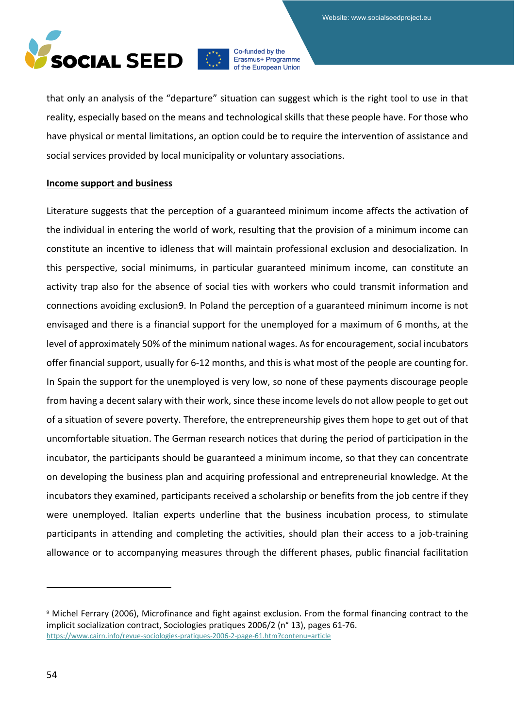

that only an analysis of the "departure" situation can suggest which is the right tool to use in that reality, especially based on the means and technological skills that these people have. For those who have physical or mental limitations, an option could be to require the intervention of assistance and social services provided by local municipality or voluntary associations.

#### **Income support and business**

Literature suggests that the perception of a guaranteed minimum income affects the activation of the individual in entering the world of work, resulting that the provision of a minimum income can constitute an incentive to idleness that will maintain professional exclusion and desocialization. In this perspective, social minimums, in particular guaranteed minimum income, can constitute an activity trap also for the absence of social ties with workers who could transmit information and connections avoiding exclusion[9.](#page-53-0) In Poland the perception of a guaranteed minimum income is not envisaged and there is a financial support for the unemployed for a maximum of 6 months, at the level of approximately 50% of the minimum national wages. As for encouragement, social incubators offer financial support, usually for 6-12 months, and this is what most of the people are counting for. In Spain the support for the unemployed is very low, so none of these payments discourage people from having a decent salary with their work, since these income levels do not allow people to get out of a situation of severe poverty. Therefore, the entrepreneurship gives them hope to get out of that uncomfortable situation. The German research notices that during the period of participation in the incubator, the participants should be guaranteed a minimum income, so that they can concentrate on developing the business plan and acquiring professional and entrepreneurial knowledge. At the incubators they examined, participants received a scholarship or benefits from the job centre if they were unemployed. Italian experts underline that the business incubation process, to stimulate participants in attending and completing the activities, should plan their access to a job-training allowance or to accompanying measures through the different phases, public financial facilitation

<span id="page-53-0"></span><sup>9</sup> Michel Ferrary (2006), Microfinance and fight against exclusion. From the formal financing contract to the implicit socialization contract, Sociologies pratiques 2006/2 (n° 13), pages 61-76. <https://www.cairn.info/revue-sociologies-pratiques-2006-2-page-61.htm?contenu=article>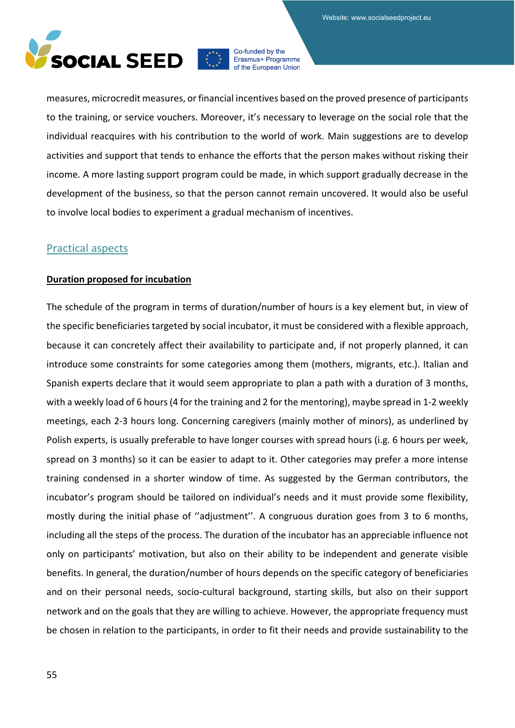

measures, microcredit measures, or financial incentives based on the proved presence of participants to the training, or service vouchers. Moreover, it's necessary to leverage on the social role that the individual reacquires with his contribution to the world of work. Main suggestions are to develop activities and support that tends to enhance the efforts that the person makes without risking their income. A more lasting support program could be made, in which support gradually decrease in the development of the business, so that the person cannot remain uncovered. It would also be useful to involve local bodies to experiment a gradual mechanism of incentives.

## Practical aspects

#### **Duration proposed for incubation**

The schedule of the program in terms of duration/number of hours is a key element but, in view of the specific beneficiaries targeted by social incubator, it must be considered with a flexible approach, because it can concretely affect their availability to participate and, if not properly planned, it can introduce some constraints for some categories among them (mothers, migrants, etc.). Italian and Spanish experts declare that it would seem appropriate to plan a path with a duration of 3 months, with a weekly load of 6 hours (4 for the training and 2 for the mentoring), maybe spread in 1-2 weekly meetings, each 2-3 hours long. Concerning caregivers (mainly mother of minors), as underlined by Polish experts, is usually preferable to have longer courses with spread hours (i.g. 6 hours per week, spread on 3 months) so it can be easier to adapt to it. Other categories may prefer a more intense training condensed in a shorter window of time. As suggested by the German contributors, the incubator's program should be tailored on individual's needs and it must provide some flexibility, mostly during the initial phase of ''adjustment''. A congruous duration goes from 3 to 6 months, including all the steps of the process. The duration of the incubator has an appreciable influence not only on participants' motivation, but also on their ability to be independent and generate visible benefits. In general, the duration/number of hours depends on the specific category of beneficiaries and on their personal needs, socio-cultural background, starting skills, but also on their support network and on the goals that they are willing to achieve. However, the appropriate frequency must be chosen in relation to the participants, in order to fit their needs and provide sustainability to the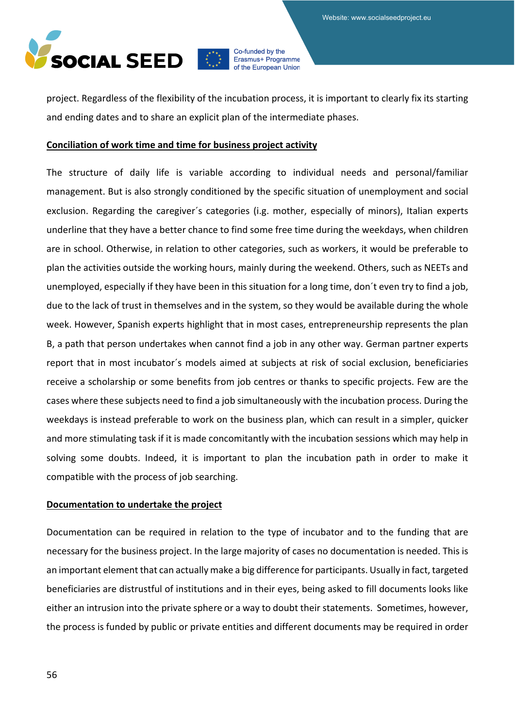

project. Regardless of the flexibility of the incubation process, it is important to clearly fix its starting and ending dates and to share an explicit plan of the intermediate phases.

#### **Conciliation of work time and time for business project activity**

The structure of daily life is variable according to individual needs and personal/familiar management. But is also strongly conditioned by the specific situation of unemployment and social exclusion. Regarding the caregiver´s categories (i.g. mother, especially of minors), Italian experts underline that they have a better chance to find some free time during the weekdays, when children are in school. Otherwise, in relation to other categories, such as workers, it would be preferable to plan the activities outside the working hours, mainly during the weekend. Others, such as NEETs and unemployed, especially if they have been in this situation for a long time, don´t even try to find a job, due to the lack of trust in themselves and in the system, so they would be available during the whole week. However, Spanish experts highlight that in most cases, entrepreneurship represents the plan B, a path that person undertakes when cannot find a job in any other way. German partner experts report that in most incubator´s models aimed at subjects at risk of social exclusion, beneficiaries receive a scholarship or some benefits from job centres or thanks to specific projects. Few are the cases where these subjects need to find a job simultaneously with the incubation process. During the weekdays is instead preferable to work on the business plan, which can result in a simpler, quicker and more stimulating task if it is made concomitantly with the incubation sessions which may help in solving some doubts. Indeed, it is important to plan the incubation path in order to make it compatible with the process of job searching.

#### **Documentation to undertake the project**

Documentation can be required in relation to the type of incubator and to the funding that are necessary for the business project. In the large majority of cases no documentation is needed. This is an important element that can actually make a big difference for participants. Usually in fact, targeted beneficiaries are distrustful of institutions and in their eyes, being asked to fill documents looks like either an intrusion into the private sphere or a way to doubt their statements. Sometimes, however, the process is funded by public or private entities and different documents may be required in order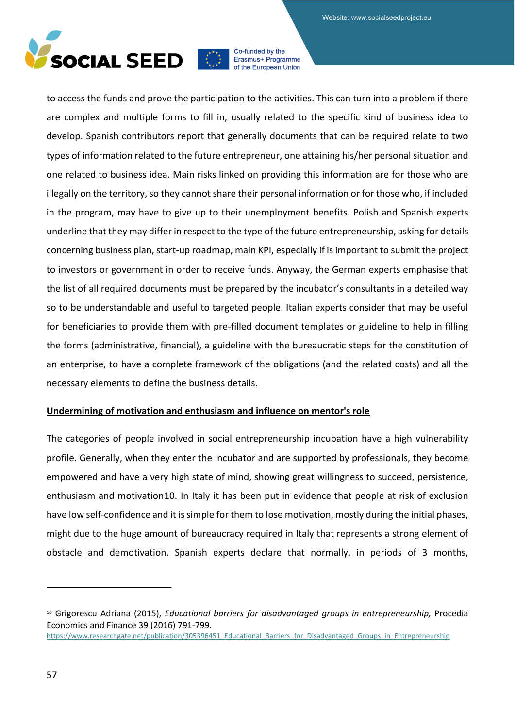

to access the funds and prove the participation to the activities. This can turn into a problem if there are complex and multiple forms to fill in, usually related to the specific kind of business idea to develop. Spanish contributors report that generally documents that can be required relate to two types of information related to the future entrepreneur, one attaining his/her personal situation and one related to business idea. Main risks linked on providing this information are for those who are illegally on the territory, so they cannot share their personal information or for those who, if included in the program, may have to give up to their unemployment benefits. Polish and Spanish experts underline that they may differ in respect to the type of the future entrepreneurship, asking for details concerning business plan, start-up roadmap, main KPI, especially if is important to submit the project to investors or government in order to receive funds. Anyway, the German experts emphasise that the list of all required documents must be prepared by the incubator's consultants in a detailed way so to be understandable and useful to targeted people. Italian experts consider that may be useful for beneficiaries to provide them with pre-filled document templates or guideline to help in filling the forms (administrative, financial), a guideline with the bureaucratic steps for the constitution of an enterprise, to have a complete framework of the obligations (and the related costs) and all the necessary elements to define the business details.

## **Undermining of motivation and enthusiasm and influence on mentor's role**

The categories of people involved in social entrepreneurship incubation have a high vulnerability profile. Generally, when they enter the incubator and are supported by professionals, they become empowered and have a very high state of mind, showing great willingness to succeed, persistence, enthusiasm and motivation[10](#page-56-0). In Italy it has been put in evidence that people at risk of exclusion have low self-confidence and it is simple for them to lose motivation, mostly during the initial phases, might due to the huge amount of bureaucracy required in Italy that represents a strong element of obstacle and demotivation. Spanish experts declare that normally, in periods of 3 months,

<span id="page-56-0"></span><sup>10</sup> Grigorescu Adriana (2015), *Educational barriers for disadvantaged groups in entrepreneurship,* Procedia Economics and Finance 39 (2016) 791-799.

[https://www.researchgate.net/publication/305396451\\_Educational\\_Barriers\\_for\\_Disadvantaged\\_Groups\\_in\\_Entrepreneurship](https://www.researchgate.net/publication/305396451_Educational_Barriers_for_Disadvantaged_Groups_in_Entrepreneurship)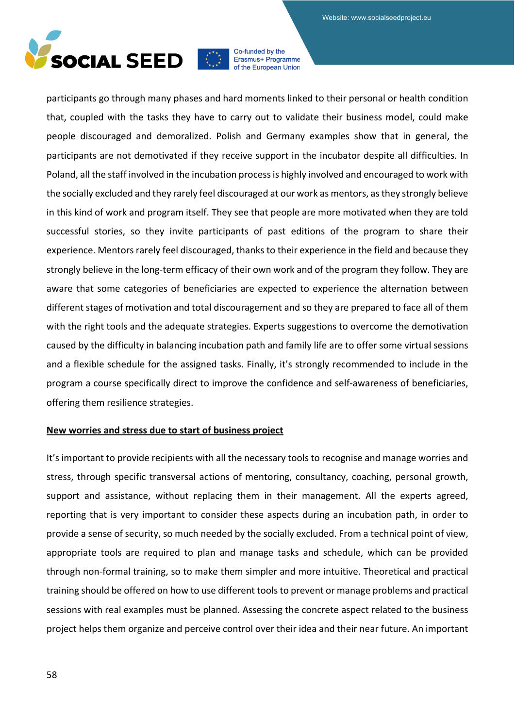

participants go through many phases and hard moments linked to their personal or health condition that, coupled with the tasks they have to carry out to validate their business model, could make people discouraged and demoralized. Polish and Germany examples show that in general, the participants are not demotivated if they receive support in the incubator despite all difficulties. In Poland, all the staff involved in the incubation process is highly involved and encouraged to work with the socially excluded and they rarely feel discouraged at our work as mentors, as they strongly believe in this kind of work and program itself. They see that people are more motivated when they are told successful stories, so they invite participants of past editions of the program to share their experience. Mentors rarely feel discouraged, thanks to their experience in the field and because they strongly believe in the long-term efficacy of their own work and of the program they follow. They are aware that some categories of beneficiaries are expected to experience the alternation between different stages of motivation and total discouragement and so they are prepared to face all of them with the right tools and the adequate strategies. Experts suggestions to overcome the demotivation caused by the difficulty in balancing incubation path and family life are to offer some virtual sessions and a flexible schedule for the assigned tasks. Finally, it's strongly recommended to include in the program a course specifically direct to improve the confidence and self-awareness of beneficiaries, offering them resilience strategies.

### **New worries and stress due to start of business project**

It's important to provide recipients with all the necessary tools to recognise and manage worries and stress, through specific transversal actions of mentoring, consultancy, coaching, personal growth, support and assistance, without replacing them in their management. All the experts agreed, reporting that is very important to consider these aspects during an incubation path, in order to provide a sense of security, so much needed by the socially excluded. From a technical point of view, appropriate tools are required to plan and manage tasks and schedule, which can be provided through non-formal training, so to make them simpler and more intuitive. Theoretical and practical training should be offered on how to use different tools to prevent or manage problems and practical sessions with real examples must be planned. Assessing the concrete aspect related to the business project helps them organize and perceive control over their idea and their near future. An important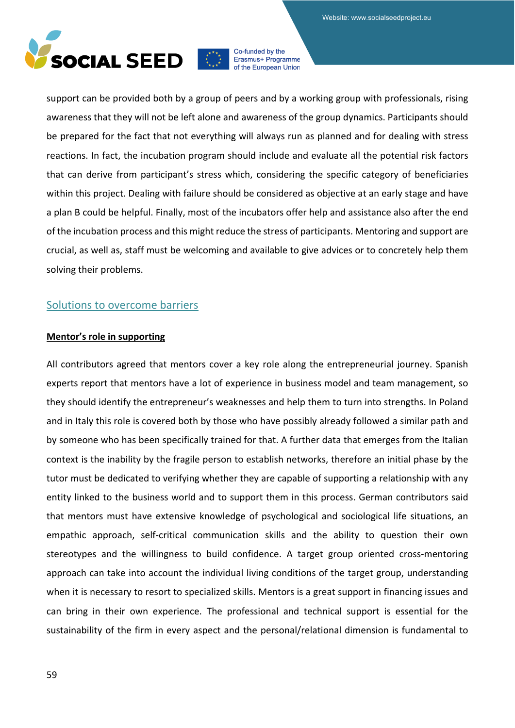

support can be provided both by a group of peers and by a working group with professionals, rising awareness that they will not be left alone and awareness of the group dynamics. Participants should be prepared for the fact that not everything will always run as planned and for dealing with stress reactions. In fact, the incubation program should include and evaluate all the potential risk factors that can derive from participant's stress which, considering the specific category of beneficiaries within this project. Dealing with failure should be considered as objective at an early stage and have a plan B could be helpful. Finally, most of the incubators offer help and assistance also after the end of the incubation process and this might reduce the stress of participants. Mentoring and support are crucial, as well as, staff must be welcoming and available to give advices or to concretely help them solving their problems.

## Solutions to overcome barriers

### **Mentor's role in supporting**

All contributors agreed that mentors cover a key role along the entrepreneurial journey. Spanish experts report that mentors have a lot of experience in business model and team management, so they should identify the entrepreneur's weaknesses and help them to turn into strengths. In Poland and in Italy this role is covered both by those who have possibly already followed a similar path and by someone who has been specifically trained for that. A further data that emerges from the Italian context is the inability by the fragile person to establish networks, therefore an initial phase by the tutor must be dedicated to verifying whether they are capable of supporting a relationship with any entity linked to the business world and to support them in this process. German contributors said that mentors must have extensive knowledge of psychological and sociological life situations, an empathic approach, self-critical communication skills and the ability to question their own stereotypes and the willingness to build confidence. A target group oriented cross-mentoring approach can take into account the individual living conditions of the target group, understanding when it is necessary to resort to specialized skills. Mentors is a great support in financing issues and can bring in their own experience. The professional and technical support is essential for the sustainability of the firm in every aspect and the personal/relational dimension is fundamental to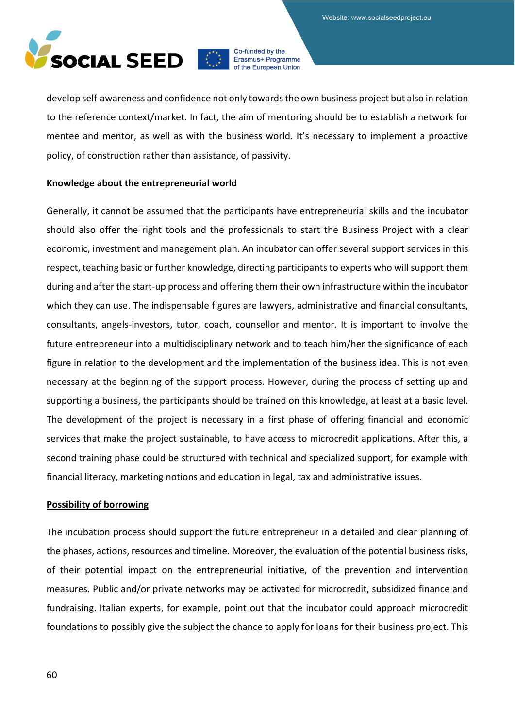

develop self-awareness and confidence not only towards the own business project but also in relation to the reference context/market. In fact, the aim of mentoring should be to establish a network for mentee and mentor, as well as with the business world. It's necessary to implement a proactive policy, of construction rather than assistance, of passivity.

#### **Knowledge about the entrepreneurial world**

Generally, it cannot be assumed that the participants have entrepreneurial skills and the incubator should also offer the right tools and the professionals to start the Business Project with a clear economic, investment and management plan. An incubator can offer several support services in this respect, teaching basic or further knowledge, directing participants to experts who will support them during and after the start-up process and offering them their own infrastructure within the incubator which they can use. The indispensable figures are lawyers, administrative and financial consultants, consultants, angels-investors, tutor, coach, counsellor and mentor. It is important to involve the future entrepreneur into a multidisciplinary network and to teach him/her the significance of each figure in relation to the development and the implementation of the business idea. This is not even necessary at the beginning of the support process. However, during the process of setting up and supporting a business, the participants should be trained on this knowledge, at least at a basic level. The development of the project is necessary in a first phase of offering financial and economic services that make the project sustainable, to have access to microcredit applications. After this, a second training phase could be structured with technical and specialized support, for example with financial literacy, marketing notions and education in legal, tax and administrative issues.

#### **Possibility of borrowing**

The incubation process should support the future entrepreneur in a detailed and clear planning of the phases, actions, resources and timeline. Moreover, the evaluation of the potential business risks, of their potential impact on the entrepreneurial initiative, of the prevention and intervention measures. Public and/or private networks may be activated for microcredit, subsidized finance and fundraising. Italian experts, for example, point out that the incubator could approach microcredit foundations to possibly give the subject the chance to apply for loans for their business project. This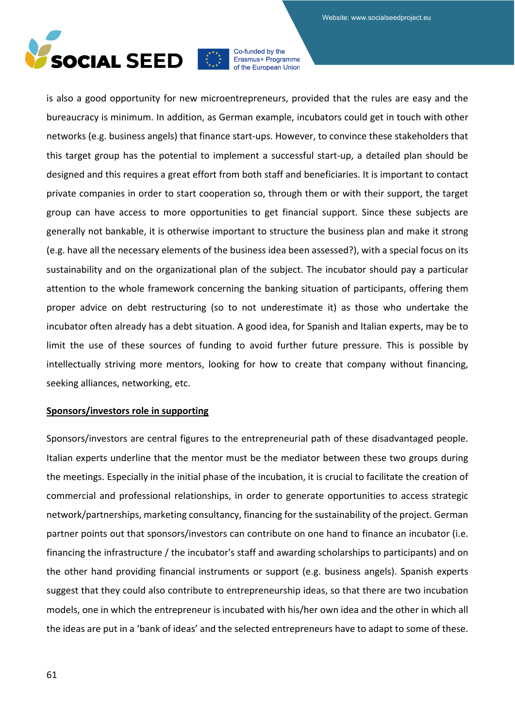

is also a good opportunity for new microentrepreneurs, provided that the rules are easy and the bureaucracy is minimum. In addition, as German example, incubators could get in touch with other networks (e.g. business angels) that finance start-ups. However, to convince these stakeholders that this target group has the potential to implement a successful start-up, a detailed plan should be designed and this requires a great effort from both staff and beneficiaries. It is important to contact private companies in order to start cooperation so, through them or with their support, the target group can have access to more opportunities to get financial support. Since these subjects are generally not bankable, it is otherwise important to structure the business plan and make it strong (e.g. have all the necessary elements of the business idea been assessed?), with a special focus on its sustainability and on the organizational plan of the subject. The incubator should pay a particular attention to the whole framework concerning the banking situation of participants, offering them proper advice on debt restructuring (so to not underestimate it) as those who undertake the incubator often already has a debt situation. A good idea, for Spanish and Italian experts, may be to limit the use of these sources of funding to avoid further future pressure. This is possible by intellectually striving more mentors, looking for how to create that company without financing, seeking alliances, networking, etc.

#### **Sponsors/investors role in supporting**

Sponsors/investors are central figures to the entrepreneurial path of these disadvantaged people. Italian experts underline that the mentor must be the mediator between these two groups during the meetings. Especially in the initial phase of the incubation, it is crucial to facilitate the creation of commercial and professional relationships, in order to generate opportunities to access strategic network/partnerships, marketing consultancy, financing for the sustainability of the project. German partner points out that sponsors/investors can contribute on one hand to finance an incubator (i.e. financing the infrastructure / the incubator's staff and awarding scholarships to participants) and on the other hand providing financial instruments or support (e.g. business angels). Spanish experts suggest that they could also contribute to entrepreneurship ideas, so that there are two incubation models, one in which the entrepreneur is incubated with his/her own idea and the other in which all the ideas are put in a 'bank of ideas' and the selected entrepreneurs have to adapt to some of these.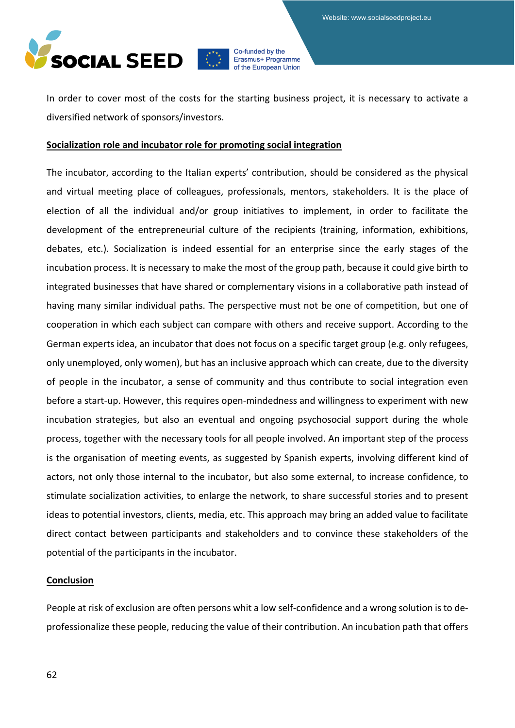

In order to cover most of the costs for the starting business project, it is necessary to activate a diversified network of sponsors/investors.

#### **Socialization role and incubator role for promoting social integration**

The incubator, according to the Italian experts' contribution, should be considered as the physical and virtual meeting place of colleagues, professionals, mentors, stakeholders. It is the place of election of all the individual and/or group initiatives to implement, in order to facilitate the development of the entrepreneurial culture of the recipients (training, information, exhibitions, debates, etc.). Socialization is indeed essential for an enterprise since the early stages of the incubation process. It is necessary to make the most of the group path, because it could give birth to integrated businesses that have shared or complementary visions in a collaborative path instead of having many similar individual paths. The perspective must not be one of competition, but one of cooperation in which each subject can compare with others and receive support. According to the German experts idea, an incubator that does not focus on a specific target group (e.g. only refugees, only unemployed, only women), but has an inclusive approach which can create, due to the diversity of people in the incubator, a sense of community and thus contribute to social integration even before a start-up. However, this requires open-mindedness and willingness to experiment with new incubation strategies, but also an eventual and ongoing psychosocial support during the whole process, together with the necessary tools for all people involved. An important step of the process is the organisation of meeting events, as suggested by Spanish experts, involving different kind of actors, not only those internal to the incubator, but also some external, to increase confidence, to stimulate socialization activities, to enlarge the network, to share successful stories and to present ideas to potential investors, clients, media, etc. This approach may bring an added value to facilitate direct contact between participants and stakeholders and to convince these stakeholders of the potential of the participants in the incubator.

#### **Conclusion**

People at risk of exclusion are often persons whit a low self-confidence and a wrong solution is to deprofessionalize these people, reducing the value of their contribution. An incubation path that offers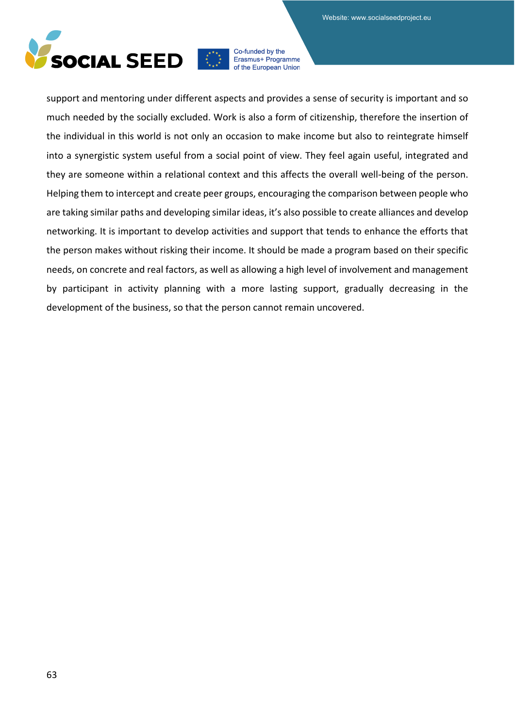

support and mentoring under different aspects and provides a sense of security is important and so much needed by the socially excluded. Work is also a form of citizenship, therefore the insertion of the individual in this world is not only an occasion to make income but also to reintegrate himself into a synergistic system useful from a social point of view. They feel again useful, integrated and they are someone within a relational context and this affects the overall well-being of the person. Helping them to intercept and create peer groups, encouraging the comparison between people who are taking similar paths and developing similar ideas, it's also possible to create alliances and develop networking. It is important to develop activities and support that tends to enhance the efforts that the person makes without risking their income. It should be made a program based on their specific needs, on concrete and real factors, as well as allowing a high level of involvement and management by participant in activity planning with a more lasting support, gradually decreasing in the development of the business, so that the person cannot remain uncovered.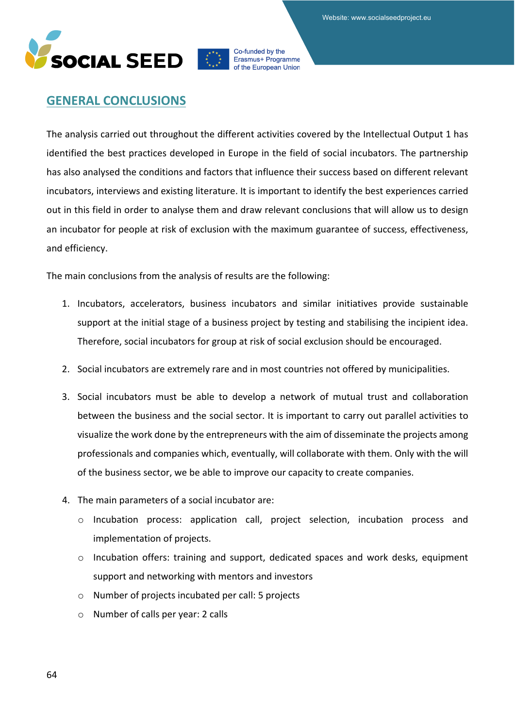



## **GENERAL CONCLUSIONS**

The analysis carried out throughout the different activities covered by the Intellectual Output 1 has identified the best practices developed in Europe in the field of social incubators. The partnership has also analysed the conditions and factors that influence their success based on different relevant incubators, interviews and existing literature. It is important to identify the best experiences carried out in this field in order to analyse them and draw relevant conclusions that will allow us to design an incubator for people at risk of exclusion with the maximum guarantee of success, effectiveness, and efficiency.

The main conclusions from the analysis of results are the following:

- 1. Incubators, accelerators, business incubators and similar initiatives provide sustainable support at the initial stage of a business project by testing and stabilising the incipient idea. Therefore, social incubators for group at risk of social exclusion should be encouraged.
- 2. Social incubators are extremely rare and in most countries not offered by municipalities.
- 3. Social incubators must be able to develop a network of mutual trust and collaboration between the business and the social sector. It is important to carry out parallel activities to visualize the work done by the entrepreneurs with the aim of disseminate the projects among professionals and companies which, eventually, will collaborate with them. Only with the will of the business sector, we be able to improve our capacity to create companies.
- 4. The main parameters of a social incubator are:
	- o Incubation process: application call, project selection, incubation process and implementation of projects.
	- o Incubation offers: training and support, dedicated spaces and work desks, equipment support and networking with mentors and investors
	- o Number of projects incubated per call: 5 projects
	- o Number of calls per year: 2 calls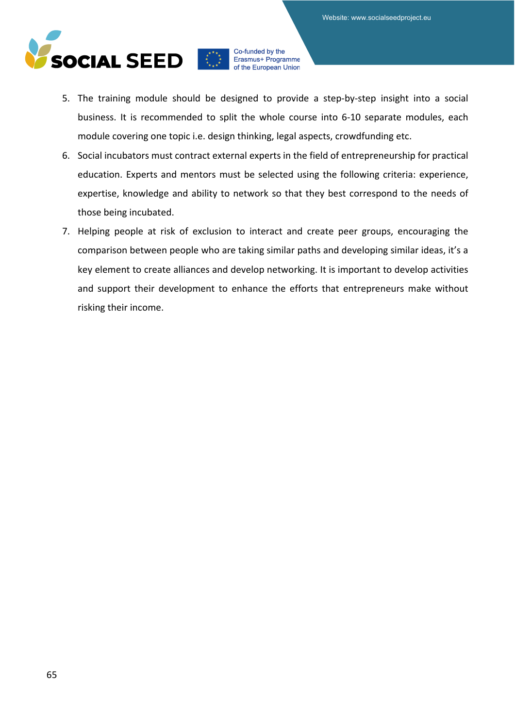

- 5. The training module should be designed to provide a step-by-step insight into a social business. It is recommended to split the whole course into 6-10 separate modules, each module covering one topic i.e. design thinking, legal aspects, crowdfunding etc.
- 6. Social incubators must contract external experts in the field of entrepreneurship for practical education. Experts and mentors must be selected using the following criteria: experience, expertise, knowledge and ability to network so that they best correspond to the needs of those being incubated.
- 7. Helping people at risk of exclusion to interact and create peer groups, encouraging the comparison between people who are taking similar paths and developing similar ideas, it's a key element to create alliances and develop networking. It is important to develop activities and support their development to enhance the efforts that entrepreneurs make without risking their income.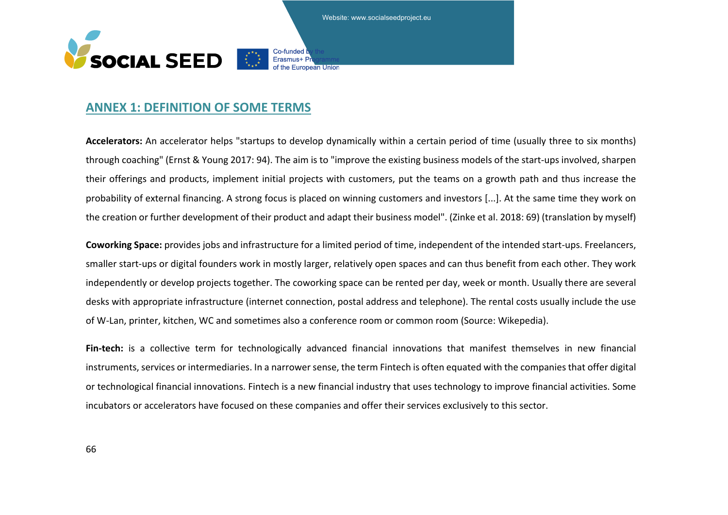Website: www.socialseedproject.eu

Co-funded



## **ANNEX 1: DEFINITION OF SOME TERMS**

**Accelerators:** An accelerator helps "startups to develop dynamically within a certain period of time (usually three to six months) through coaching" (Ernst & Young 2017: 94). The aim is to "improve the existing business models of the start-ups involved, sharpen their offerings and products, implement initial projects with customers, put the teams on a growth path and thus increase the probability of external financing. A strong focus is placed on winning customers and investors [...]. At the same time they work on the creation or further development of their product and adapt their business model". (Zinke et al. 2018: 69) (translation by myself)

**Coworking Space:** provides jobs and infrastructure for a limited period of time, independent of the intended start-ups. Freelancers, smaller start-ups or digital founders work in mostly larger, relatively open spaces and can thus benefit from each other. They work independently or develop projects together. The coworking space can be rented per day, week or month. Usually there are several desks with appropriate infrastructure (internet connection, postal address and telephone). The rental costs usually include the use of W-Lan, printer, kitchen, WC and sometimes also a conference room or common room (Source: Wikepedia).

Fin-tech: is a collective term for technologically advanced financial innovations that manifest themselves in new financial instruments, services or intermediaries. In a narrower sense, the term Fintech is often equated with the companies that offer digital or technological financial innovations. Fintech is a new financial industry that uses technology to improve financial activities. Some incubators or accelerators have focused on these companies and offer their services exclusively to this sector.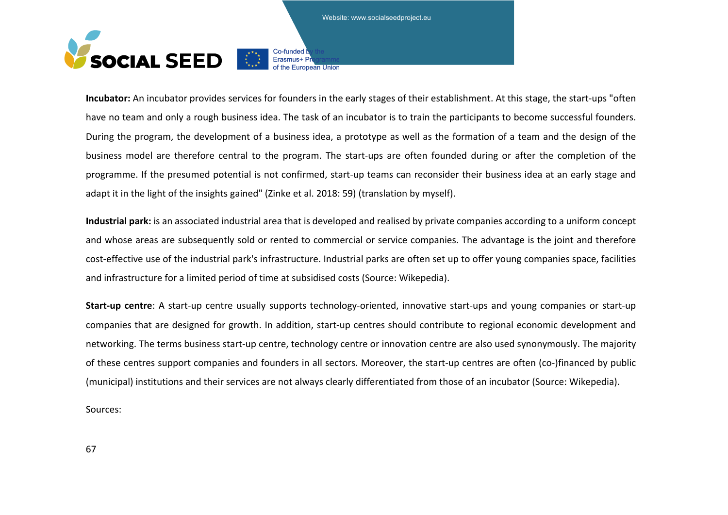Website: www.socialseedproject.eu

Co-funded b



**Incubator:** An incubator provides services for founders in the early stages of their establishment. At this stage, the start-ups "often have no team and only a rough business idea. The task of an incubator is to train the participants to become successful founders. During the program, the development of a business idea, a prototype as well as the formation of a team and the design of the business model are therefore central to the program. The start-ups are often founded during or after the completion of the programme. If the presumed potential is not confirmed, start-up teams can reconsider their business idea at an early stage and adapt it in the light of the insights gained" (Zinke et al. 2018: 59) (translation by myself).

**Industrial park:** is an associated industrial area that is developed and realised by private companies according to a uniform concept and whose areas are subsequently sold or rented to commercial or service companies. The advantage is the joint and therefore cost-effective use of the industrial park's infrastructure. Industrial parks are often set up to offer young companies space, facilities and infrastructure for a limited period of time at subsidised costs (Source: Wikepedia).

**Start-up centre**: A start-up centre usually supports technology-oriented, innovative start-ups and young companies or start-up companies that are designed for growth. In addition, start-up centres should contribute to regional economic development and networking. The terms business start-up centre, technology centre or innovation centre are also used synonymously. The majority of these centres support companies and founders in all sectors. Moreover, the start-up centres are often (co-)financed by public (municipal) institutions and their services are not always clearly differentiated from those of an incubator (Source: Wikepedia).

Sources: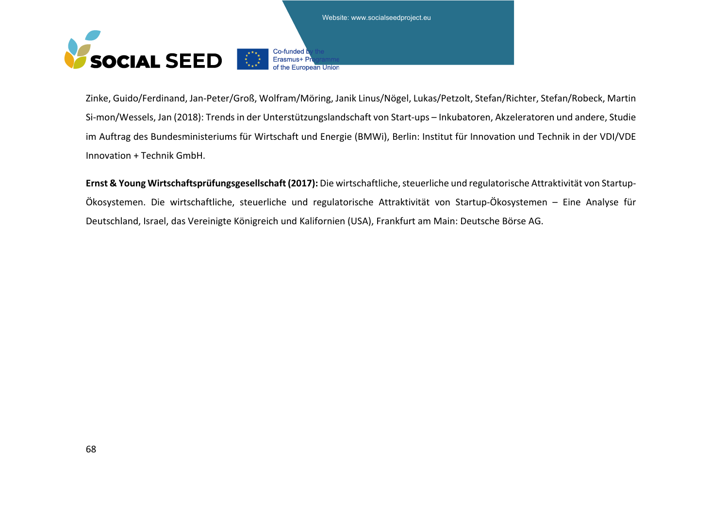



Zinke, Guido/Ferdinand, Jan-Peter/Groß, Wolfram/Möring, Janik Linus/Nögel, Lukas/Petzolt, Stefan/Richter, Stefan/Robeck, Martin Si-mon/Wessels, Jan (2018): Trends in der Unterstützungslandschaft von Start-ups – Inkubatoren, Akzeleratoren und andere, Studie im Auftrag des Bundesministeriums für Wirtschaft und Energie (BMWi), Berlin: Institut für Innovation und Technik in der VDI/VDE Innovation + Technik GmbH.

the European Union

**Ernst & Young Wirtschaftsprüfungsgesellschaft (2017):** Die wirtschaftliche, steuerliche und regulatorische Attraktivität von Startup-Ökosystemen. Die wirtschaftliche, steuerliche und regulatorische Attraktivität von Startup-Ökosystemen – Eine Analyse für Deutschland, Israel, das Vereinigte Königreich und Kalifornien (USA), Frankfurt am Main: Deutsche Börse AG.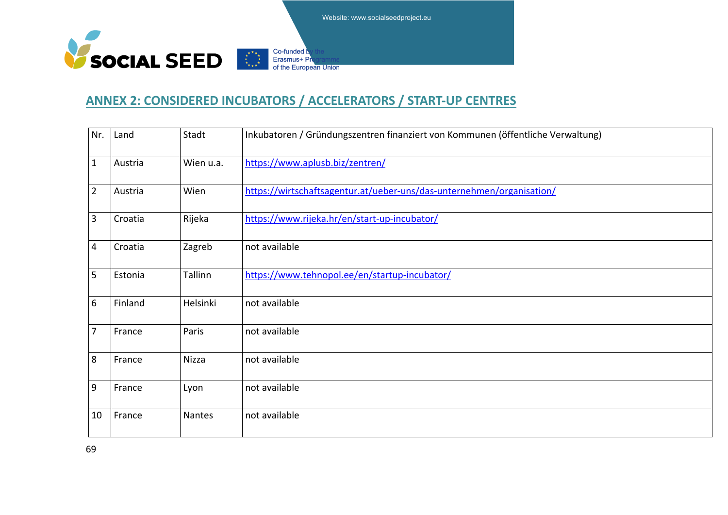Website: www.socialseedproject.eu



# **ANNEX 2: CONSIDERED INCUBATORS / ACCELERATORS / START-UP CENTRES**

| Nr.             | Land    | Stadt     | Inkubatoren / Gründungszentren finanziert von Kommunen (öffentliche Verwaltung) |
|-----------------|---------|-----------|---------------------------------------------------------------------------------|
| $\mathbf 1$     | Austria | Wien u.a. | https://www.aplusb.biz/zentren/                                                 |
| $\overline{2}$  | Austria | Wien      | https://wirtschaftsagentur.at/ueber-uns/das-unternehmen/organisation/           |
| $\overline{3}$  | Croatia | Rijeka    | https://www.rijeka.hr/en/start-up-incubator/                                    |
| $\overline{4}$  | Croatia | Zagreb    | not available                                                                   |
| 5               | Estonia | Tallinn   | https://www.tehnopol.ee/en/startup-incubator/                                   |
| $6\phantom{1}6$ | Finland | Helsinki  | not available                                                                   |
| $\overline{7}$  | France  | Paris     | not available                                                                   |
| 8               | France  | Nizza     | not available                                                                   |
| 9               | France  | Lyon      | not available                                                                   |
| 10              | France  | Nantes    | not available                                                                   |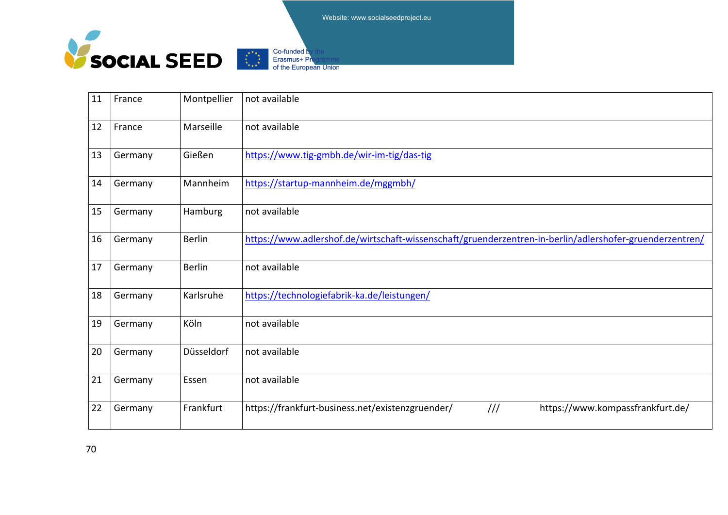

| 11 | France  | Montpellier   | not available                                                                                           |
|----|---------|---------------|---------------------------------------------------------------------------------------------------------|
| 12 | France  | Marseille     | not available                                                                                           |
| 13 | Germany | Gießen        | https://www.tig-gmbh.de/wir-im-tig/das-tig                                                              |
| 14 | Germany | Mannheim      | https://startup-mannheim.de/mggmbh/                                                                     |
| 15 | Germany | Hamburg       | not available                                                                                           |
| 16 | Germany | <b>Berlin</b> | https://www.adlershof.de/wirtschaft-wissenschaft/gruenderzentren-in-berlin/adlershofer-gruenderzentren/ |
| 17 | Germany | <b>Berlin</b> | not available                                                                                           |
| 18 | Germany | Karlsruhe     | https://technologiefabrik-ka.de/leistungen/                                                             |
| 19 | Germany | Köln          | not available                                                                                           |
| 20 | Germany | Düsseldorf    | not available                                                                                           |
| 21 | Germany | Essen         | not available                                                                                           |
| 22 | Germany | Frankfurt     | $\frac{1}{1}$<br>https://www.kompassfrankfurt.de/<br>https://frankfurt-business.net/existenzgruender/   |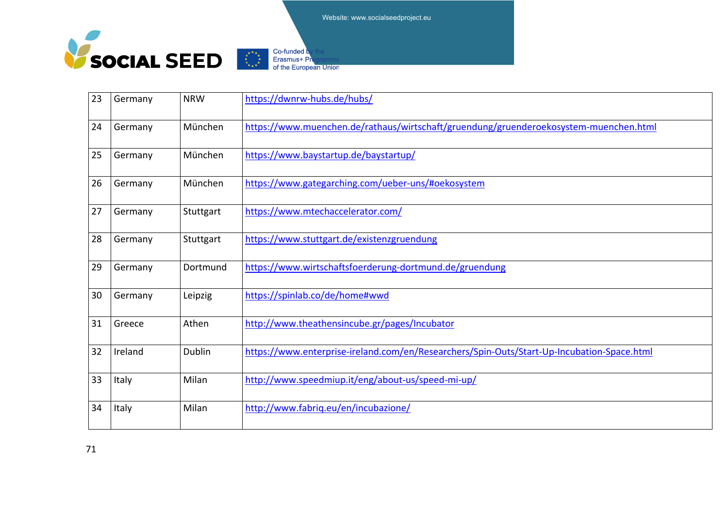



| 23 | Germany | <b>NRW</b> | https://dwnrw-hubs.de/hubs/                                                                |
|----|---------|------------|--------------------------------------------------------------------------------------------|
| 24 | Germany | München    | https://www.muenchen.de/rathaus/wirtschaft/gruendung/gruenderoekosystem-muenchen.html      |
| 25 | Germany | München    | https://www.baystartup.de/baystartup/                                                      |
| 26 | Germany | München    | https://www.gategarching.com/ueber-uns/#oekosystem                                         |
| 27 | Germany | Stuttgart  | https://www.mtechaccelerator.com/                                                          |
| 28 | Germany | Stuttgart  | https://www.stuttgart.de/existenzgruendung                                                 |
| 29 | Germany | Dortmund   | https://www.wirtschaftsfoerderung-dortmund.de/gruendung                                    |
| 30 | Germany | Leipzig    | https://spinlab.co/de/home#wwd                                                             |
| 31 | Greece  | Athen      | http://www.theathensincube.gr/pages/Incubator                                              |
| 32 | Ireland | Dublin     | https://www.enterprise-ireland.com/en/Researchers/Spin-Outs/Start-Up-Incubation-Space.html |
| 33 | Italy   | Milan      | http://www.speedmiup.it/eng/about-us/speed-mi-up/                                          |
| 34 | Italy   | Milan      | http://www.fabriq.eu/en/incubazione/                                                       |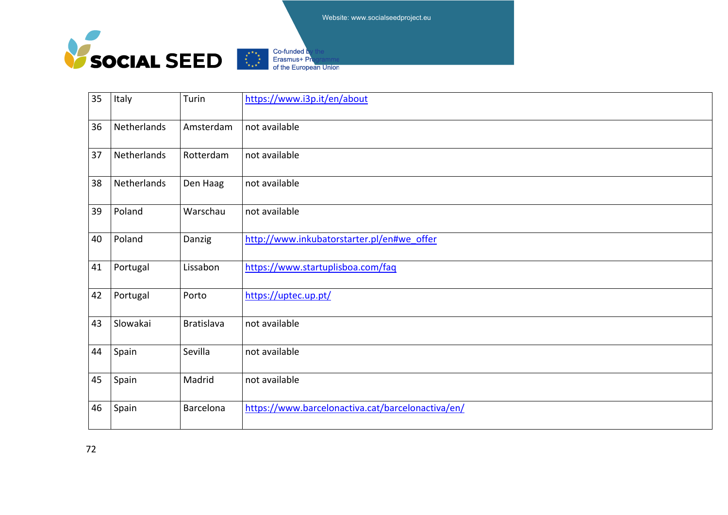



| 35 | Italy       | Turin             | https://www.i3p.it/en/about                       |
|----|-------------|-------------------|---------------------------------------------------|
| 36 | Netherlands | Amsterdam         | not available                                     |
| 37 | Netherlands | Rotterdam         | not available                                     |
| 38 | Netherlands | Den Haag          | not available                                     |
| 39 | Poland      | Warschau          | not available                                     |
| 40 | Poland      | Danzig            | http://www.inkubatorstarter.pl/en#we_offer        |
| 41 | Portugal    | Lissabon          | https://www.startuplisboa.com/faq                 |
| 42 | Portugal    | Porto             | https://uptec.up.pt/                              |
| 43 | Slowakai    | <b>Bratislava</b> | not available                                     |
| 44 | Spain       | Sevilla           | not available                                     |
| 45 | Spain       | Madrid            | not available                                     |
| 46 | Spain       | Barcelona         | https://www.barcelonactiva.cat/barcelonactiva/en/ |